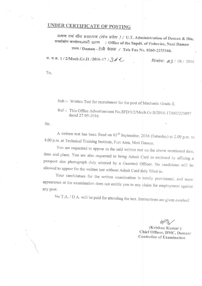# UNDER CERTIFICATE OF POSTING

दमण एवं दीव प्रशासन (संघ प्रदेश) / U.T. Administration of Daman & Diu, मत्स्योद्योग कार्यालय,नानी दमण / Office of the Supdt. of Fisheries, Nani Daman दमण / Daman - टेली फेक्स / Tele Fax No. 0260-2255166.

स. म.अ. 1/2/Mech.Gr.II /2016-17 / 362

दिलांक: 03 / 08 / 2016

To.

Sub :- Written Test for recruitment for the post of Mechanic Grade.II.

Ref:- This Office Advertisement No.SFD/1/2/Mech.Gr.II/2016-17/643/229897 dated 27-05-2016.

Sir.

A written test has been fixed on 03rd September, 2016 (Saturday) at 2.00 p.m. to 4.00 p.m. at Technical Training Institute, Fort Area, Moti Daman.

You are requested to appear in the said written test on the above mentioned date, time and place. You are also requested to bring Admit Card as enclosed by affixing a passport size photograph duly attested by a Gazetted Officer. No candidates will be allowed to appear for the written test without Admit Card duly filled in.

Your candidature for the written examination is totally provisional, and mere appearance at the examination does not entitle you to any claim for employment against any post.

No T.A. / D.A. will be paid for attending the test. Instructions are given overleaf.

(Krishan Kumar) Chief Officer, DMC, Daman/ **Controller of Examination**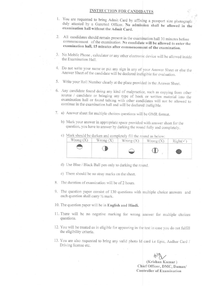#### **INSTRUCTION FOR CANDIDATES**

- 1. You are requested to bring Admit Card by affixing a passport size photograph duly attested by a Gazetted Officer. No admission shall be allowed in the examination hall without the Admit Card.
- 2. All candidates should remain present in the examination hall 30 minutes before commencement of the examination. No candidate will be allowed to enter the examination hall, 15 minutes after commencement of the examination.
- 3. No Mobile Phone, calculator or any other electronic device will be allowed inside the Examination Hall
- 4. Do not write your name or put any sign in any of your Answer Sheet or else the Answer Sheet of the candidate will be declared ineligible for evaluation.
- 5. Write your Roll Number clearly at the place provided in the Answer Sheet.
- 6. Any candidate found doing any kind of malpractice, such as copying from other source / candidate or bringing any type of book or written material into the examination hall or found talking with other candidates will not be allowed to continue in the examination hall and will be declared ineligible.
- 7. a) Answer sheet for multiple choices questions will be OMR format.
	- b) Mark your answer in appropriate space provided with answer sheet for the question, you have to answer by darking the round fully and completely.
	- c) Mark should be darken and completely fill the round as below:

| $W$ rong $(X)$ | Wrong $(X)$ | $W$ rong $(X)$ | $Right(\check{v})$ |
|----------------|-------------|----------------|--------------------|
|                |             |                |                    |
|                |             |                |                    |

- d) Use Blue / Black Ball pen only to darking the round.
- e) There should be no stray marks on the sheet.
- 8. The duration of examination will be of 2 hours.
- 9. The question paper consist of 130 questions with multiple choice answers and each question shall carry 1/2 mark.
- 10. The question paper will be in English and Hindi.
- 11. There will be no negative marking for wrong answer for multiple choices questions.
- 12. You will be treated as in eligible for appearing in the test in case you do not fulfill the eligibility criteria.
- 13. You are also requested to bring any valid photo Id card i.e Epic, Aadhar Card / Driving license etc.

(Krishan Kumar) Chief Officer, DMC, Daman/ **Controller of Examination**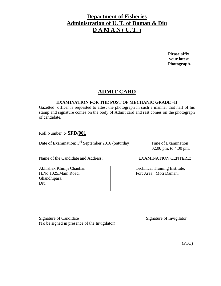**Please affix your latest Photograph.** 

### **ADMIT CARD**

#### **EXAMINATION FOR THE POST OF MECHANIC GRADE –II**

Gazetted officer is requested to attest the photograph in such a manner that half of his stamp and signature comes on the body of Admit card and rest comes on the photograph of candidate.

\_\_\_\_\_\_\_\_\_\_\_\_\_\_\_\_\_\_\_\_\_\_\_\_\_\_\_\_\_\_\_\_\_\_\_ \_\_\_\_\_\_\_\_\_\_\_\_\_\_\_\_\_\_\_\_\_\_\_\_\_\_\_

Roll Number :- **SFD/001**

Date of Examination: 3<sup>rd</sup> September 2016 (Saturday). Time of Examination

02.00 pm. to 4.00 pm.

Name of the Candidate and Address: EXAMINATION CENTERE:

Abhishek Khimji Chauhan H.No.1025,Main Road, Ghandhipara, Diu

Technical Training Institute, Fort Area, Moti Daman.

Signature of Candidate Signature of Invigilator (To be signed in presence of the Invigilator)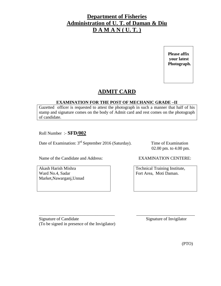**Please affix your latest Photograph.** 

### **ADMIT CARD**

#### **EXAMINATION FOR THE POST OF MECHANIC GRADE –II**

Gazetted officer is requested to attest the photograph in such a manner that half of his stamp and signature comes on the body of Admit card and rest comes on the photograph of candidate.

Roll Number :- **SFD/002**

Date of Examination: 3<sup>rd</sup> September 2016 (Saturday). Time of Examination

02.00 pm. to 4.00 pm.

Name of the Candidate and Address: EXAMINATION CENTERE:

Akash Harish Mishra Ward No.4, Sadar Market,Nawarganj,Unnad

Technical Training Institute, Fort Area, Moti Daman.

Signature of Candidate Signature of Invigilator (To be signed in presence of the Invigilator)

\_\_\_\_\_\_\_\_\_\_\_\_\_\_\_\_\_\_\_\_\_\_\_\_\_\_\_\_\_\_\_\_\_\_\_ \_\_\_\_\_\_\_\_\_\_\_\_\_\_\_\_\_\_\_\_\_\_\_\_\_\_\_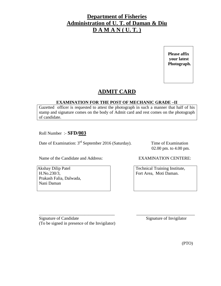**Please affix your latest Photograph.** 

### **ADMIT CARD**

#### **EXAMINATION FOR THE POST OF MECHANIC GRADE –II**

Gazetted officer is requested to attest the photograph in such a manner that half of his stamp and signature comes on the body of Admit card and rest comes on the photograph of candidate.

\_\_\_\_\_\_\_\_\_\_\_\_\_\_\_\_\_\_\_\_\_\_\_\_\_\_\_\_\_\_\_\_\_\_\_ \_\_\_\_\_\_\_\_\_\_\_\_\_\_\_\_\_\_\_\_\_\_\_\_\_\_\_

Roll Number :- **SFD/003** 

Date of Examination: 3<sup>rd</sup> September 2016 (Saturday). Time of Examination

02.00 pm. to 4.00 pm.

Name of the Candidate and Address: EXAMINATION CENTERE:

Akshay Dilip Patel H.No.230/3, Prakash Falia, Dalwada, Nani Daman

Technical Training Institute, Fort Area, Moti Daman.

Signature of Candidate Signature of Invigilator (To be signed in presence of the Invigilator)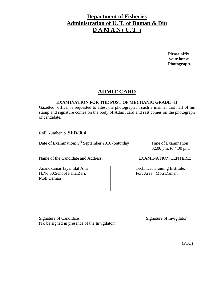**Please affix your latest Photograph.** 

### **ADMIT CARD**

#### **EXAMINATION FOR THE POST OF MECHANIC GRADE –II**

Gazetted officer is requested to attest the photograph in such a manner that half of his stamp and signature comes on the body of Admit card and rest comes on the photograph of candidate.

\_\_\_\_\_\_\_\_\_\_\_\_\_\_\_\_\_\_\_\_\_\_\_\_\_\_\_\_\_\_\_\_\_\_\_ \_\_\_\_\_\_\_\_\_\_\_\_\_\_\_\_\_\_\_\_\_\_\_\_\_\_\_

Roll Number :- **SFD**/004

Date of Examination: 3<sup>rd</sup> September 2016 (Saturday). Time of Examination

02.00 pm. to 4.00 pm.

Name of the Candidate and Address: EXAMINATION CENTERE:

Anandkumar Jayantilal Ahir H.No.50,School Falia,Zari. Moti Daman

Technical Training Institute, Fort Area, Moti Daman.

Signature of Candidate Signature of Invigilator (To be signed in presence of the Invigilator)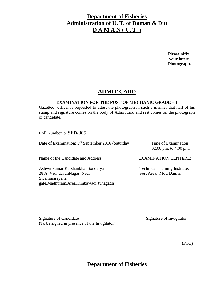**Please affix your latest Photograph.** 

### **ADMIT CARD**

#### **EXAMINATION FOR THE POST OF MECHANIC GRADE –II**

Gazetted officer is requested to attest the photograph in such a manner that half of his stamp and signature comes on the body of Admit card and rest comes on the photograph of candidate.

Roll Number :- **SFD**/005

Date of Examination: 3<sup>rd</sup> September 2016 (Saturday). Time of Examination

02.00 pm. to 4.00 pm.

Name of the Candidate and Address: EXAMINATION CENTERE:

Ashwinkumar Karshanbhai Sondarya 28 A, VrundavanNagar, Near Swaminarayana gate,Madhuram,Area,Timbawadi,Junagadh

Technical Training Institute, Fort Area, Moti Daman.

Signature of Candidate Signature of Invigilator (To be signed in presence of the Invigilator)

(PTO)

**Department of Fisheries**

\_\_\_\_\_\_\_\_\_\_\_\_\_\_\_\_\_\_\_\_\_\_\_\_\_\_\_\_\_\_\_\_\_\_\_ \_\_\_\_\_\_\_\_\_\_\_\_\_\_\_\_\_\_\_\_\_\_\_\_\_\_\_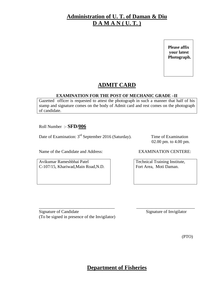## **Administration of U. T. of Daman & Diu D A M A N ( U. T. )**

 **Please affix your latest Photograph.** 

## **ADMIT CARD**

#### **EXAMINATION FOR THE POST OF MECHANIC GRADE –II**

Gazetted officer is requested to attest the photograph in such a manner that half of his stamp and signature comes on the body of Admit card and rest comes on the photograph of candidate.

Roll Number :- **SFD/006** 

Date of Examination: 3<sup>rd</sup> September 2016 (Saturday). Time of Examination

02.00 pm. to 4.00 pm.

Name of the Candidate and Address: EXAMINATION CENTERE:

Avikumar Rameshbhai Patel C-107/15, Khariwad,Main Road,N.D.

Technical Training Institute, Fort Area, Moti Daman.

\_\_\_\_\_\_\_\_\_\_\_\_\_\_\_\_\_\_\_\_\_\_\_\_\_\_\_\_\_\_\_\_\_\_\_ \_\_\_\_\_\_\_\_\_\_\_\_\_\_\_\_\_\_\_\_\_\_\_\_\_\_\_ Signature of Candidate Signature of Invigilator (To be signed in presence of the Invigilator)

(PTO)

## **Department of Fisheries**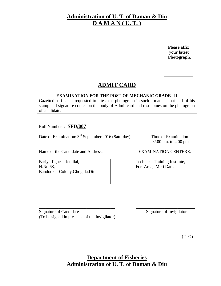## **Administration of U. T. of Daman & Diu D A M A N ( U. T. )**

 **Please affix your latest Photograph.** 

## **ADMIT CARD**

#### **EXAMINATION FOR THE POST OF MECHANIC GRADE –II**

Gazetted officer is requested to attest the photograph in such a manner that half of his stamp and signature comes on the body of Admit card and rest comes on the photograph of candidate.

Roll Number :- **SFD/007**

Date of Examination: 3<sup>rd</sup> September 2016 (Saturday). Time of Examination

02.00 pm. to 4.00 pm.

Name of the Candidate and Address: EXAMINATION CENTERE:

Bariya Jignesh Jentilal, H.No.68, Bandodkar Colony,Ghoghla,Diu.

Technical Training Institute, Fort Area, Moti Daman.

\_\_\_\_\_\_\_\_\_\_\_\_\_\_\_\_\_\_\_\_\_\_\_\_\_\_\_\_\_\_\_\_\_\_\_ \_\_\_\_\_\_\_\_\_\_\_\_\_\_\_\_\_\_\_\_\_\_\_\_\_\_\_ Signature of Candidate Signature of Invigilator (To be signed in presence of the Invigilator)

(PTO)

**Department of Fisheries Administration of U. T. of Daman & Diu**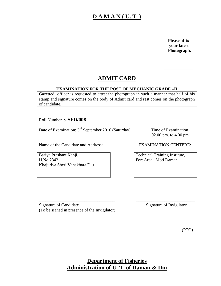## **D A M A N ( U. T. )**

 **Please affix your latest Photograph.** 

## **ADMIT CARD**

#### **EXAMINATION FOR THE POST OF MECHANIC GRADE –II**

Gazetted officer is requested to attest the photograph in such a manner that half of his stamp and signature comes on the body of Admit card and rest comes on the photograph of candidate.

Roll Number :- **SFD/008**

Date of Examination: 3<sup>rd</sup> September 2016 (Saturday). Time of Examination

Bariya Prashant Kanji, H.No.2342, Khajuriya Sheri,Vanakbara,Diu 02.00 pm. to 4.00 pm.

Name of the Candidate and Address: EXAMINATION CENTERE:

Technical Training Institute, Fort Area, Moti Daman.

Signature of Candidate Signature of Invigilator (To be signed in presence of the Invigilator)

\_\_\_\_\_\_\_\_\_\_\_\_\_\_\_\_\_\_\_\_\_\_\_\_\_\_\_\_\_\_\_\_\_\_\_ \_\_\_\_\_\_\_\_\_\_\_\_\_\_\_\_\_\_\_\_\_\_\_\_\_\_\_

(PTO)

## **Department of Fisheries Administration of U. T. of Daman & Diu**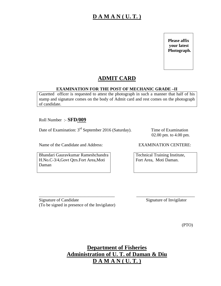## **D A M A N ( U. T. )**

 **Please affix your latest Photograph.** 

## **ADMIT CARD**

#### **EXAMINATION FOR THE POST OF MECHANIC GRADE –II**

Gazetted officer is requested to attest the photograph in such a manner that half of his stamp and signature comes on the body of Admit card and rest comes on the photograph of candidate.

Roll Number :- **SFD/009**

Date of Examination: 3<sup>rd</sup> September 2016 (Saturday). Time of Examination

Bhandari Gauravkumar Rameshchandra H.No.C-3/4,Govt Qtrs.Fort Area,Moti Daman

02.00 pm. to 4.00 pm.

Name of the Candidate and Address: EXAMINATION CENTERE:

Technical Training Institute, Fort Area, Moti Daman.

\_\_\_\_\_\_\_\_\_\_\_\_\_\_\_\_\_\_\_\_\_\_\_\_\_\_\_\_\_\_\_\_\_\_\_ \_\_\_\_\_\_\_\_\_\_\_\_\_\_\_\_\_\_\_\_\_\_\_\_\_\_\_ Signature of Candidate Signature of Invigilator (To be signed in presence of the Invigilator)

(PTO)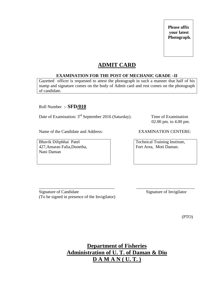## **ADMIT CARD**

#### **EXAMINATION FOR THE POST OF MECHANIC GRADE –II**

Gazetted officer is requested to attest the photograph in such a manner that half of his stamp and signature comes on the body of Admit card and rest comes on the photograph of candidate.

Roll Number :- **SFD/010**

Date of Examination: 3<sup>rd</sup> September 2016 (Saturday). Time of Examination

Name of the Candidate and Address: EXAMINATION CENTERE:

Bhavik Dilipbhai Patel 427,Amaran Falia,Dunetha, Nani Daman

02.00 pm. to 4.00 pm.

Technical Training Institute, Fort Area, Moti Daman.

\_\_\_\_\_\_\_\_\_\_\_\_\_\_\_\_\_\_\_\_\_\_\_\_\_\_\_\_\_\_\_\_\_\_\_ \_\_\_\_\_\_\_\_\_\_\_\_\_\_\_\_\_\_\_\_\_\_\_\_\_\_\_ Signature of Candidate Signature of Invigilator (To be signed in presence of the Invigilator)

(PTO)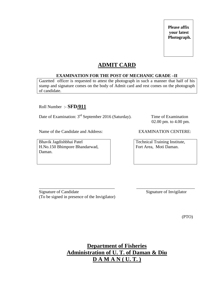## **ADMIT CARD**

#### **EXAMINATION FOR THE POST OF MECHANIC GRADE –II**

Gazetted officer is requested to attest the photograph in such a manner that half of his stamp and signature comes on the body of Admit card and rest comes on the photograph of candidate.

Roll Number :- **SFD/011**

Date of Examination: 3<sup>rd</sup> September 2016 (Saturday). Time of Examination

Name of the Candidate and Address: EXAMINATION CENTERE:

Bhavik Jagdishbhai Patel H.No.150 Bhimpore Bhandarwad, Daman.

02.00 pm. to 4.00 pm.

Technical Training Institute, Fort Area, Moti Daman.

\_\_\_\_\_\_\_\_\_\_\_\_\_\_\_\_\_\_\_\_\_\_\_\_\_\_\_\_\_\_\_\_\_\_\_ \_\_\_\_\_\_\_\_\_\_\_\_\_\_\_\_\_\_\_\_\_\_\_\_\_\_\_ Signature of Candidate Signature of Invigilator (To be signed in presence of the Invigilator)

(PTO)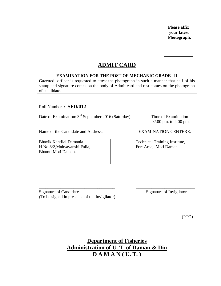### **ADMIT CARD**

#### **EXAMINATION FOR THE POST OF MECHANIC GRADE –II**

Gazetted officer is requested to attest the photograph in such a manner that half of his stamp and signature comes on the body of Admit card and rest comes on the photograph of candidate.

Roll Number :- **SFD/012**

Date of Examination: 3<sup>rd</sup> September 2016 (Saturday). Time of Examination

Name of the Candidate and Address: EXAMINATION CENTERE:

Bhavik Kantilal Damania H.No.8/2,Mahyavanshi Falia, Bhamti,Moti Daman.

02.00 pm. to 4.00 pm.

Technical Training Institute, Fort Area, Moti Daman.

\_\_\_\_\_\_\_\_\_\_\_\_\_\_\_\_\_\_\_\_\_\_\_\_\_\_\_\_\_\_\_\_\_\_\_ \_\_\_\_\_\_\_\_\_\_\_\_\_\_\_\_\_\_\_\_\_\_\_\_\_\_\_ Signature of Candidate Signature of Invigilator (To be signed in presence of the Invigilator)

(PTO)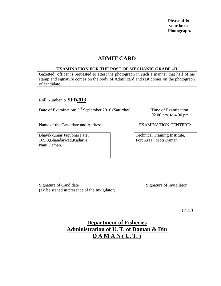### **ADMIT CARD**

#### **EXAMINATION FOR THE POST OF MECHANIC GRADE –II**

Gazetted officer is requested to attest the photograph in such a manner that half of his stamp and signature comes on the body of Admit card and rest comes on the photograph of candidate.

Roll Number :- **SFD/013**

Date of Examination: 3<sup>rd</sup> September 2016 (Saturday). Time of Examination

02.00 pm. to 4.00 pm.

Name of the Candidate and Address: EXAMINATION CENTERE:

Bhavikkumar Jagubhai Patel 109/3,Bhandarwad,Kadaiya, Nani Daman.

Technical Training Institute, Fort Area, Moti Daman.

Signature of Candidate Signature of Invigilator (To be signed in presence of the Invigilator)

(PTO)

## **Department of Fisheries Administration of U. T. of Daman & Diu D A M A N ( U. T. )**

\_\_\_\_\_\_\_\_\_\_\_\_\_\_\_\_\_\_\_\_\_\_\_\_\_\_\_\_\_\_\_\_\_\_\_ \_\_\_\_\_\_\_\_\_\_\_\_\_\_\_\_\_\_\_\_\_\_\_\_\_\_\_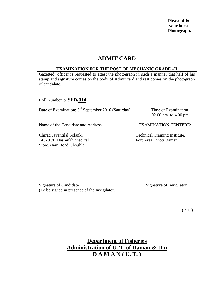### **ADMIT CARD**

#### **EXAMINATION FOR THE POST OF MECHANIC GRADE –II**

Gazetted officer is requested to attest the photograph in such a manner that half of his stamp and signature comes on the body of Admit card and rest comes on the photograph of candidate.

Roll Number :- **SFD/014**

Date of Examination: 3<sup>rd</sup> September 2016 (Saturday). Time of Examination

02.00 pm. to 4.00 pm.

Name of the Candidate and Address: EXAMINATION CENTERE:

Chirag Jayantilal Solanki 1437,B/H Hasmukh Medical Store,Main Road Ghoghla

Technical Training Institute, Fort Area, Moti Daman.

\_\_\_\_\_\_\_\_\_\_\_\_\_\_\_\_\_\_\_\_\_\_\_\_\_\_\_\_\_\_\_\_\_\_\_ \_\_\_\_\_\_\_\_\_\_\_\_\_\_\_\_\_\_\_\_\_\_\_\_\_\_\_ Signature of Candidate Signature of Invigilator (To be signed in presence of the Invigilator)

(PTO)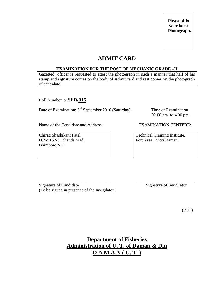### **ADMIT CARD**

#### **EXAMINATION FOR THE POST OF MECHANIC GRADE –II**

Gazetted officer is requested to attest the photograph in such a manner that half of his stamp and signature comes on the body of Admit card and rest comes on the photograph of candidate.

Roll Number :- **SFD/015**

Date of Examination: 3<sup>rd</sup> September 2016 (Saturday). Time of Examination

02.00 pm. to 4.00 pm.

Name of the Candidate and Address: EXAMINATION CENTERE:

Chirag Shashikant Patel H.No.152/3, Bhandarwad, Bhimpore,N.D

Technical Training Institute, Fort Area, Moti Daman.

\_\_\_\_\_\_\_\_\_\_\_\_\_\_\_\_\_\_\_\_\_\_\_\_\_\_\_\_\_\_\_\_\_\_\_ \_\_\_\_\_\_\_\_\_\_\_\_\_\_\_\_\_\_\_\_\_\_\_\_\_\_\_ Signature of Candidate Signature of Invigilator (To be signed in presence of the Invigilator)

(PTO)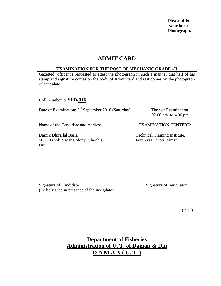### **ADMIT CARD**

#### **EXAMINATION FOR THE POST OF MECHANIC GRADE –II**

Gazetted officer is requested to attest the photograph in such a manner that half of his stamp and signature comes on the body of Admit card and rest comes on the photograph of candidate.

Roll Number :- **SFD/016**

Date of Examination: 3<sup>rd</sup> September 2016 (Saturday). Time of Examination

02.00 pm. to 4.00 pm.

Name of the Candidate and Address: EXAMINATION CENTERE:

Dainik Dhirajlal Baria 50/2, Ashok Nagar Colony Ghoghla Diu

Technical Training Institute, Fort Area, Moti Daman.

\_\_\_\_\_\_\_\_\_\_\_\_\_\_\_\_\_\_\_\_\_\_\_\_\_\_\_\_\_\_\_\_\_\_\_ \_\_\_\_\_\_\_\_\_\_\_\_\_\_\_\_\_\_\_\_\_\_\_\_\_\_\_ Signature of Candidate Signature of Invigilator (To be signed in presence of the Invigilator)

(PTO)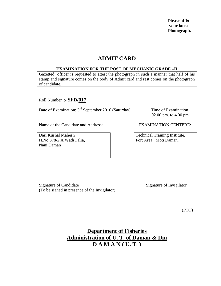### **ADMIT CARD**

#### **EXAMINATION FOR THE POST OF MECHANIC GRADE –II**

Gazetted officer is requested to attest the photograph in such a manner that half of his stamp and signature comes on the body of Admit card and rest comes on the photograph of candidate.

Roll Number :- **SFD/017**

Date of Examination: 3<sup>rd</sup> September 2016 (Saturday). Time of Examination

02.00 pm. to 4.00 pm.

Name of the Candidate and Address: EXAMINATION CENTERE:

Dari Kushal Mahesh H.No.378/2 A,Wadi Falia, Nani Daman

Technical Training Institute, Fort Area, Moti Daman.

\_\_\_\_\_\_\_\_\_\_\_\_\_\_\_\_\_\_\_\_\_\_\_\_\_\_\_\_\_\_\_\_\_\_\_ \_\_\_\_\_\_\_\_\_\_\_\_\_\_\_\_\_\_\_\_\_\_\_\_\_\_\_ Signature of Candidate Signature of Invigilator (To be signed in presence of the Invigilator)

(PTO)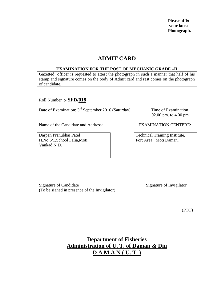### **ADMIT CARD**

#### **EXAMINATION FOR THE POST OF MECHANIC GRADE –II**

Gazetted officer is requested to attest the photograph in such a manner that half of his stamp and signature comes on the body of Admit card and rest comes on the photograph of candidate.

Roll Number :- **SFD/018**

Date of Examination: 3<sup>rd</sup> September 2016 (Saturday). Time of Examination

02.00 pm. to 4.00 pm.

Name of the Candidate and Address: EXAMINATION CENTERE:

Darpan Pranubhai Patel H.No.6/1,School Falia,Moti Vankad,N.D.

Technical Training Institute, Fort Area, Moti Daman.

\_\_\_\_\_\_\_\_\_\_\_\_\_\_\_\_\_\_\_\_\_\_\_\_\_\_\_\_\_\_\_\_\_\_\_ \_\_\_\_\_\_\_\_\_\_\_\_\_\_\_\_\_\_\_\_\_\_\_\_\_\_\_ Signature of Candidate Signature of Invigilator (To be signed in presence of the Invigilator)

(PTO)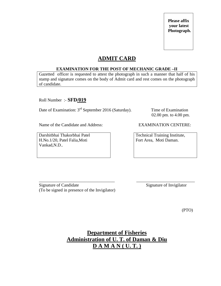### **ADMIT CARD**

#### **EXAMINATION FOR THE POST OF MECHANIC GRADE –II**

Gazetted officer is requested to attest the photograph in such a manner that half of his stamp and signature comes on the body of Admit card and rest comes on the photograph of candidate.

Roll Number :- **SFD/019**

Date of Examination: 3<sup>rd</sup> September 2016 (Saturday). Time of Examination

02.00 pm. to 4.00 pm.

Name of the Candidate and Address: EXAMINATION CENTERE:

Darshitbhai Thakorbhai Patel H.No.1/20, Patel Falia,Moti Vankad,N.D..

Technical Training Institute, Fort Area, Moti Daman.

\_\_\_\_\_\_\_\_\_\_\_\_\_\_\_\_\_\_\_\_\_\_\_\_\_\_\_\_\_\_\_\_\_\_\_ \_\_\_\_\_\_\_\_\_\_\_\_\_\_\_\_\_\_\_\_\_\_\_\_\_\_\_ Signature of Candidate Signature of Invigilator (To be signed in presence of the Invigilator)

(PTO)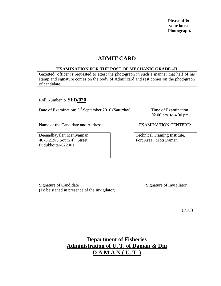### **ADMIT CARD**

#### **EXAMINATION FOR THE POST OF MECHANIC GRADE –II**

Gazetted officer is requested to attest the photograph in such a manner that half of his stamp and signature comes on the body of Admit card and rest comes on the photograph of candidate.

Roll Number :- **SFD/020**

Date of Examination: 3<sup>rd</sup> September 2016 (Saturday). Time of Examination

02.00 pm. to 4.00 pm.

Name of the Candidate and Address: EXAMINATION CENTERE:

Deenadhayalan Manivannan  $4075,219/3$ , South  $4^{\text{th}}$  Street Pudukkottai-622001

Technical Training Institute, Fort Area, Moti Daman.

\_\_\_\_\_\_\_\_\_\_\_\_\_\_\_\_\_\_\_\_\_\_\_\_\_\_\_\_\_\_\_\_\_\_\_ \_\_\_\_\_\_\_\_\_\_\_\_\_\_\_\_\_\_\_\_\_\_\_\_\_\_\_ Signature of Candidate Signature of Invigilator (To be signed in presence of the Invigilator)

(PTO)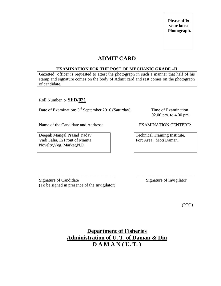### **ADMIT CARD**

#### **EXAMINATION FOR THE POST OF MECHANIC GRADE –II**

Gazetted officer is requested to attest the photograph in such a manner that half of his stamp and signature comes on the body of Admit card and rest comes on the photograph of candidate.

Roll Number :- **SFD/021**

Date of Examination: 3<sup>rd</sup> September 2016 (Saturday). Time of Examination

02.00 pm. to 4.00 pm.

Name of the Candidate and Address: EXAMINATION CENTERE:

Deepak Mangal Prasad Yadav Vadi Falia, In Front of Mamta Novelty,Veg. Market,N.D.

Technical Training Institute, Fort Area, Moti Daman.

\_\_\_\_\_\_\_\_\_\_\_\_\_\_\_\_\_\_\_\_\_\_\_\_\_\_\_\_\_\_\_\_\_\_\_ \_\_\_\_\_\_\_\_\_\_\_\_\_\_\_\_\_\_\_\_\_\_\_\_\_\_\_ Signature of Candidate Signature of Invigilator (To be signed in presence of the Invigilator)

(PTO)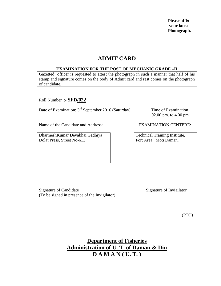### **ADMIT CARD**

#### **EXAMINATION FOR THE POST OF MECHANIC GRADE –II**

Gazetted officer is requested to attest the photograph in such a manner that half of his stamp and signature comes on the body of Admit card and rest comes on the photograph of candidate.

Roll Number :- **SFD/022**

Date of Examination: 3<sup>rd</sup> September 2016 (Saturday). Time of Examination

02.00 pm. to 4.00 pm.

Name of the Candidate and Address: EXAMINATION CENTERE:

DharmeshKumar Devabhai Gadhiya Dolat Press, Street No-613

Technical Training Institute, Fort Area, Moti Daman.

\_\_\_\_\_\_\_\_\_\_\_\_\_\_\_\_\_\_\_\_\_\_\_\_\_\_\_\_\_\_\_\_\_\_\_ \_\_\_\_\_\_\_\_\_\_\_\_\_\_\_\_\_\_\_\_\_\_\_\_\_\_\_ Signature of Candidate Signature of Invigilator (To be signed in presence of the Invigilator)

(PTO)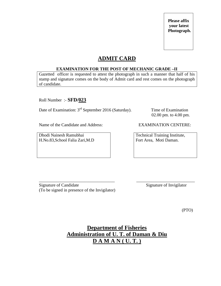### **ADMIT CARD**

#### **EXAMINATION FOR THE POST OF MECHANIC GRADE –II**

Gazetted officer is requested to attest the photograph in such a manner that half of his stamp and signature comes on the body of Admit card and rest comes on the photograph of candidate.

Roll Number :- **SFD/023**

Date of Examination: 3<sup>rd</sup> September 2016 (Saturday). Time of Examination

02.00 pm. to 4.00 pm.

Name of the Candidate and Address: EXAMINATION CENTERE:

Dhodi Nainesh Ramubhai H.No.83,School Falia Zari,M.D

Technical Training Institute, Fort Area, Moti Daman.

\_\_\_\_\_\_\_\_\_\_\_\_\_\_\_\_\_\_\_\_\_\_\_\_\_\_\_\_\_\_\_\_\_\_\_ \_\_\_\_\_\_\_\_\_\_\_\_\_\_\_\_\_\_\_\_\_\_\_\_\_\_\_ Signature of Candidate Signature of Invigilator (To be signed in presence of the Invigilator)

(PTO)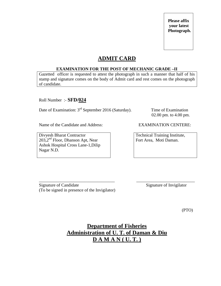### **ADMIT CARD**

#### **EXAMINATION FOR THE POST OF MECHANIC GRADE –II**

Gazetted officer is requested to attest the photograph in such a manner that half of his stamp and signature comes on the body of Admit card and rest comes on the photograph of candidate.

Roll Number :- **SFD/024**

Date of Examination: 3<sup>rd</sup> September 2016 (Saturday). Time of Examination

02.00 pm. to 4.00 pm.

Name of the Candidate and Address: EXAMINATION CENTERE:

Divyesh Bharat Contractor 203,2nd Floor, Dhanson Apt, Near Ashok Hospital Cross Lane-1,Dilip Nagar N.D.

Technical Training Institute, Fort Area, Moti Daman.

\_\_\_\_\_\_\_\_\_\_\_\_\_\_\_\_\_\_\_\_\_\_\_\_\_\_\_\_\_\_\_\_\_\_\_ \_\_\_\_\_\_\_\_\_\_\_\_\_\_\_\_\_\_\_\_\_\_\_\_\_\_\_ Signature of Candidate Signature of Invigilator (To be signed in presence of the Invigilator)

(PTO)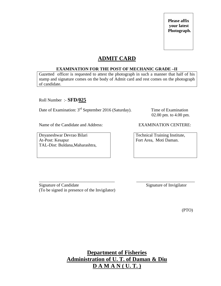### **ADMIT CARD**

#### **EXAMINATION FOR THE POST OF MECHANIC GRADE –II**

Gazetted officer is requested to attest the photograph in such a manner that half of his stamp and signature comes on the body of Admit card and rest comes on the photograph of candidate.

Roll Number :- **SFD/025**

Date of Examination: 3<sup>rd</sup> September 2016 (Saturday). Time of Examination

02.00 pm. to 4.00 pm.

Name of the Candidate and Address: EXAMINATION CENTERE:

Dnyaneshwar Devrao Bilari At-Post: Kesapur TAL-Dist: Buldana,Maharashtra,

Technical Training Institute, Fort Area, Moti Daman.

\_\_\_\_\_\_\_\_\_\_\_\_\_\_\_\_\_\_\_\_\_\_\_\_\_\_\_\_\_\_\_\_\_\_\_ \_\_\_\_\_\_\_\_\_\_\_\_\_\_\_\_\_\_\_\_\_\_\_\_\_\_\_ Signature of Candidate Signature of Invigilator (To be signed in presence of the Invigilator)

(PTO)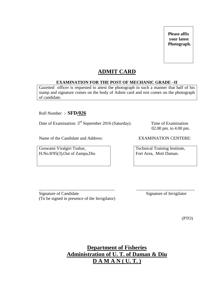### **ADMIT CARD**

#### **EXAMINATION FOR THE POST OF MECHANIC GRADE –II**

Gazetted officer is requested to attest the photograph in such a manner that half of his stamp and signature comes on the body of Admit card and rest comes on the photograph of candidate.

Roll Number :- **SFD/026**

Date of Examination: 3<sup>rd</sup> September 2016 (Saturday). Time of Examination

02.00 pm. to 4.00 pm.

Name of the Candidate and Address: EXAMINATION CENTERE:

Goswami Viralgiri Tushar, H.No.8/95(3),Out of Zampa,Diu

Technical Training Institute, Fort Area, Moti Daman.

Signature of Candidate Signature of Invigilator (To be signed in presence of the Invigilator)

(PTO)

**Department of Fisheries Administration of U. T. of Daman & Diu D A M A N ( U. T. )**

\_\_\_\_\_\_\_\_\_\_\_\_\_\_\_\_\_\_\_\_\_\_\_\_\_\_\_\_\_\_\_\_\_\_\_ \_\_\_\_\_\_\_\_\_\_\_\_\_\_\_\_\_\_\_\_\_\_\_\_\_\_\_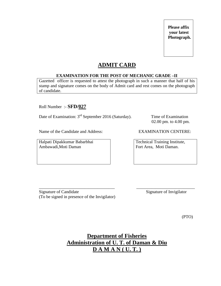### **ADMIT CARD**

#### **EXAMINATION FOR THE POST OF MECHANIC GRADE –II**

Gazetted officer is requested to attest the photograph in such a manner that half of his stamp and signature comes on the body of Admit card and rest comes on the photograph of candidate.

Roll Number :- **SFD/027**

Date of Examination: 3<sup>rd</sup> September 2016 (Saturday). Time of Examination

Name of the Candidate and Address: EXAMINATION CENTERE:

Halpati Dipakkumar Babarbhai Ambawadi,Moti Daman

02.00 pm. to 4.00 pm.

Technical Training Institute, Fort Area, Moti Daman.

\_\_\_\_\_\_\_\_\_\_\_\_\_\_\_\_\_\_\_\_\_\_\_\_\_\_\_\_\_\_\_\_\_\_\_ \_\_\_\_\_\_\_\_\_\_\_\_\_\_\_\_\_\_\_\_\_\_\_\_\_\_\_ Signature of Candidate Signature of Invigilator (To be signed in presence of the Invigilator)

(PTO)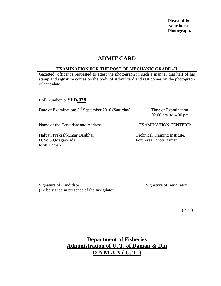### **ADMIT CARD**

#### **EXAMINATION FOR THE POST OF MECHANIC GRADE –II**

Gazetted officer is requested to attest the photograph in such a manner that half of his stamp and signature comes on the body of Admit card and rest comes on the photograph of candidate.

Roll Number :- **SFD/028**

Date of Examination: 3<sup>rd</sup> September 2016 (Saturday). Time of Examination

02.00 pm. to 4.00 pm.

Name of the Candidate and Address: EXAMINATION CENTERE:

Halpati Prakashkumar Dajibhai H.No.58,Magarwada, Moti Daman

Technical Training Institute, Fort Area, Moti Daman.

\_\_\_\_\_\_\_\_\_\_\_\_\_\_\_\_\_\_\_\_\_\_\_\_\_\_\_\_\_\_\_\_\_\_\_ \_\_\_\_\_\_\_\_\_\_\_\_\_\_\_\_\_\_\_\_\_\_\_\_\_\_\_ Signature of Candidate Signature of Invigilator (To be signed in presence of the Invigilator)

(PTO)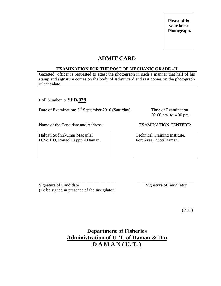### **ADMIT CARD**

#### **EXAMINATION FOR THE POST OF MECHANIC GRADE –II**

Gazetted officer is requested to attest the photograph in such a manner that half of his stamp and signature comes on the body of Admit card and rest comes on the photograph of candidate.

Roll Number :- **SFD/029**

Date of Examination: 3<sup>rd</sup> September 2016 (Saturday). Time of Examination

02.00 pm. to 4.00 pm.

Name of the Candidate and Address: EXAMINATION CENTERE:

Halpati Sudhirkumar Maganlal H.No.103, Rangoli Appt,N.Daman

Technical Training Institute, Fort Area, Moti Daman.

\_\_\_\_\_\_\_\_\_\_\_\_\_\_\_\_\_\_\_\_\_\_\_\_\_\_\_\_\_\_\_\_\_\_\_ \_\_\_\_\_\_\_\_\_\_\_\_\_\_\_\_\_\_\_\_\_\_\_\_\_\_\_ Signature of Candidate Signature of Invigilator (To be signed in presence of the Invigilator)

(PTO)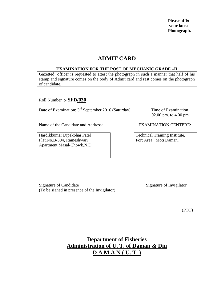### **ADMIT CARD**

#### **EXAMINATION FOR THE POST OF MECHANIC GRADE –II**

Gazetted officer is requested to attest the photograph in such a manner that half of his stamp and signature comes on the body of Admit card and rest comes on the photograph of candidate.

Roll Number :- **SFD/030**

Date of Examination: 3<sup>rd</sup> September 2016 (Saturday). Time of Examination

02.00 pm. to 4.00 pm.

Name of the Candidate and Address: EXAMINATION CENTERE:

Hardikkumar Dipakbhai Patel Flat.No.B-304, Rameshwari Apartment,Masal-Chowk,N.D.

Technical Training Institute, Fort Area, Moti Daman.

\_\_\_\_\_\_\_\_\_\_\_\_\_\_\_\_\_\_\_\_\_\_\_\_\_\_\_\_\_\_\_\_\_\_\_ \_\_\_\_\_\_\_\_\_\_\_\_\_\_\_\_\_\_\_\_\_\_\_\_\_\_\_ Signature of Candidate Signature of Invigilator (To be signed in presence of the Invigilator)

(PTO)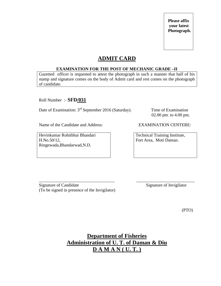### **ADMIT CARD**

#### **EXAMINATION FOR THE POST OF MECHANIC GRADE –II**

Gazetted officer is requested to attest the photograph in such a manner that half of his stamp and signature comes on the body of Admit card and rest comes on the photograph of candidate.

Roll Number :- **SFD/031**

Date of Examination: 3<sup>rd</sup> September 2016 (Saturday). Time of Examination

02.00 pm. to 4.00 pm.

Name of the Candidate and Address: EXAMINATION CENTERE:

Hevinkumar Rohitbhai Bhandari H.No.50/12, Ringnwada,Bhandarwad,N.D.

Technical Training Institute, Fort Area, Moti Daman.

\_\_\_\_\_\_\_\_\_\_\_\_\_\_\_\_\_\_\_\_\_\_\_\_\_\_\_\_\_\_\_\_\_\_\_ \_\_\_\_\_\_\_\_\_\_\_\_\_\_\_\_\_\_\_\_\_\_\_\_\_\_\_ Signature of Candidate Signature of Invigilator (To be signed in presence of the Invigilator)

(PTO)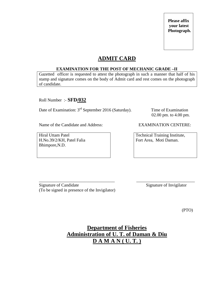### **ADMIT CARD**

#### **EXAMINATION FOR THE POST OF MECHANIC GRADE –II**

Gazetted officer is requested to attest the photograph in such a manner that half of his stamp and signature comes on the body of Admit card and rest comes on the photograph of candidate.

Roll Number :- **SFD/032**

Date of Examination: 3<sup>rd</sup> September 2016 (Saturday). Time of Examination

02.00 pm. to 4.00 pm.

Name of the Candidate and Address: EXAMINATION CENTERE:

Hiral Uttam Patel H.No.39/2/KH, Patel Falia Bhimpore,N.D.

Technical Training Institute, Fort Area, Moti Daman.

\_\_\_\_\_\_\_\_\_\_\_\_\_\_\_\_\_\_\_\_\_\_\_\_\_\_\_\_\_\_\_\_\_\_\_ \_\_\_\_\_\_\_\_\_\_\_\_\_\_\_\_\_\_\_\_\_\_\_\_\_\_\_ Signature of Candidate Signature of Invigilator (To be signed in presence of the Invigilator)

(PTO)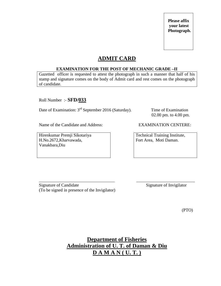### **ADMIT CARD**

#### **EXAMINATION FOR THE POST OF MECHANIC GRADE –II**

Gazetted officer is requested to attest the photograph in such a manner that half of his stamp and signature comes on the body of Admit card and rest comes on the photograph of candidate.

Roll Number :- **SFD/033**

Date of Examination: 3<sup>rd</sup> September 2016 (Saturday). Time of Examination

02.00 pm. to 4.00 pm.

Name of the Candidate and Address: EXAMINATION CENTERE:

Hirenkumar Premji Sikotariya H.No.2672,Kharvawada, Vanakbara,Diu

Technical Training Institute, Fort Area, Moti Daman.

\_\_\_\_\_\_\_\_\_\_\_\_\_\_\_\_\_\_\_\_\_\_\_\_\_\_\_\_\_\_\_\_\_\_\_ \_\_\_\_\_\_\_\_\_\_\_\_\_\_\_\_\_\_\_\_\_\_\_\_\_\_\_ Signature of Candidate Signature of Invigilator (To be signed in presence of the Invigilator)

(PTO)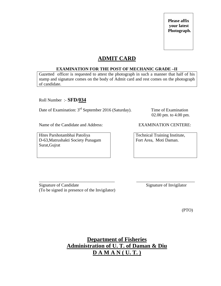### **ADMIT CARD**

#### **EXAMINATION FOR THE POST OF MECHANIC GRADE –II**

Gazetted officer is requested to attest the photograph in such a manner that half of his stamp and signature comes on the body of Admit card and rest comes on the photograph of candidate.

Roll Number :- **SFD/034**

Date of Examination: 3<sup>rd</sup> September 2016 (Saturday). Time of Examination

02.00 pm. to 4.00 pm.

Name of the Candidate and Address: EXAMINATION CENTERE:

Hites Parshotambhai Patoliya D-63,Matrushakti Society Punagam Surat,Gujrat

Technical Training Institute, Fort Area, Moti Daman.

\_\_\_\_\_\_\_\_\_\_\_\_\_\_\_\_\_\_\_\_\_\_\_\_\_\_\_\_\_\_\_\_\_\_\_ \_\_\_\_\_\_\_\_\_\_\_\_\_\_\_\_\_\_\_\_\_\_\_\_\_\_\_ Signature of Candidate Signature of Invigilator (To be signed in presence of the Invigilator)

(PTO)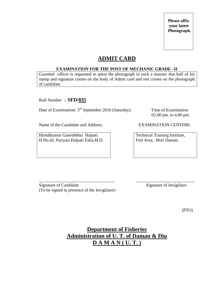# **ADMIT CARD**

### **EXAMINATION FOR THE POST OF MECHANIC GRADE –II**

Gazetted officer is requested to attest the photograph in such a manner that half of his stamp and signature comes on the body of Admit card and rest comes on the photograph of candidate.

Roll Number :- **SFD/035**

Date of Examination: 3<sup>rd</sup> September 2016 (Saturday). Time of Examination

02.00 pm. to 4.00 pm.

Name of the Candidate and Address: EXAMINATION CENTERE:

Hiteshkumar Ganeshbhai Halpati H.No.42, Pariyari,Halpati Falia,M.D.

Technical Training Institute, Fort Area, Moti Daman.

\_\_\_\_\_\_\_\_\_\_\_\_\_\_\_\_\_\_\_\_\_\_\_\_\_\_\_\_\_\_\_\_\_\_\_ \_\_\_\_\_\_\_\_\_\_\_\_\_\_\_\_\_\_\_\_\_\_\_\_\_\_\_ Signature of Candidate Signature of Invigilator (To be signed in presence of the Invigilator)

(PTO)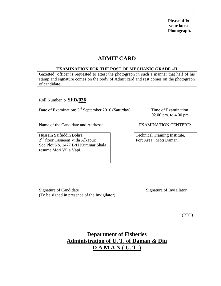# **ADMIT CARD**

### **EXAMINATION FOR THE POST OF MECHANIC GRADE –II**

Gazetted officer is requested to attest the photograph in such a manner that half of his stamp and signature comes on the body of Admit card and rest comes on the photograph of candidate.

Roll Number :- **SFD/036**

Date of Examination: 3<sup>rd</sup> September 2016 (Saturday). Time of Examination

02.00 pm. to 4.00 pm.

Name of the Candidate and Address: EXAMINATION CENTERE:

Hussain Saifuddin Bohra 2<sup>nd</sup> floor Tasneem Villa Alkapuri Soc,Plot No. 1477 B/H Kummar Shala resume Moti Villa Vapi.

Technical Training Institute, Fort Area, Moti Daman.

\_\_\_\_\_\_\_\_\_\_\_\_\_\_\_\_\_\_\_\_\_\_\_\_\_\_\_\_\_\_\_\_\_\_\_ \_\_\_\_\_\_\_\_\_\_\_\_\_\_\_\_\_\_\_\_\_\_\_\_\_\_\_ Signature of Candidate Signature of Invigilator (To be signed in presence of the Invigilator)

(PTO)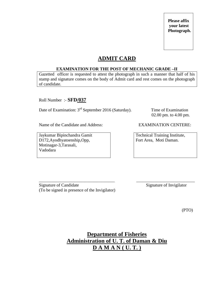# **ADMIT CARD**

### **EXAMINATION FOR THE POST OF MECHANIC GRADE –II**

Gazetted officer is requested to attest the photograph in such a manner that half of his stamp and signature comes on the body of Admit card and rest comes on the photograph of candidate.

Roll Number :- **SFD/037**

Date of Examination: 3<sup>rd</sup> September 2016 (Saturday). Time of Examination

02.00 pm. to 4.00 pm.

Name of the Candidate and Address: EXAMINATION CENTERE:

Jaykumar Bipinchandra Gamit D172,Ayodhyatoenship,Opp, Motinagar-3,Tarasali, Vadodara

Technical Training Institute, Fort Area, Moti Daman.

\_\_\_\_\_\_\_\_\_\_\_\_\_\_\_\_\_\_\_\_\_\_\_\_\_\_\_\_\_\_\_\_\_\_\_ \_\_\_\_\_\_\_\_\_\_\_\_\_\_\_\_\_\_\_\_\_\_\_\_\_\_\_ Signature of Candidate Signature of Invigilator (To be signed in presence of the Invigilator)

(PTO)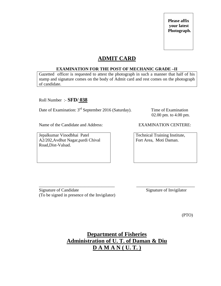# **ADMIT CARD**

### **EXAMINATION FOR THE POST OF MECHANIC GRADE –II**

Gazetted officer is requested to attest the photograph in such a manner that half of his stamp and signature comes on the body of Admit card and rest comes on the photograph of candidate.

Roll Number :- **SFD/ 038**

Date of Examination: 3<sup>rd</sup> September 2016 (Saturday). Time of Examination

02.00 pm. to 4.00 pm.

Name of the Candidate and Address: EXAMINATION CENTERE:

Jepalkumar Vinodbhai Patel A2/202,Avdhut Nagar,pardi Chival Road,Dist-Valsad.

Technical Training Institute, Fort Area, Moti Daman.

\_\_\_\_\_\_\_\_\_\_\_\_\_\_\_\_\_\_\_\_\_\_\_\_\_\_\_\_\_\_\_\_\_\_\_ \_\_\_\_\_\_\_\_\_\_\_\_\_\_\_\_\_\_\_\_\_\_\_\_\_\_\_ Signature of Candidate Signature of Invigilator (To be signed in presence of the Invigilator)

(PTO)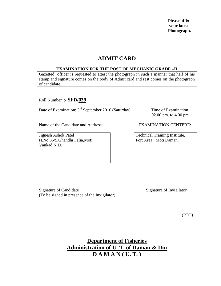# **ADMIT CARD**

### **EXAMINATION FOR THE POST OF MECHANIC GRADE –II**

Gazetted officer is requested to attest the photograph in such a manner that half of his stamp and signature comes on the body of Admit card and rest comes on the photograph of candidate.

Roll Number :- **SFD/039**

Date of Examination: 3<sup>rd</sup> September 2016 (Saturday). Time of Examination

02.00 pm. to 4.00 pm.

Name of the Candidate and Address: EXAMINATION CENTERE:

Jignesh Ashok Patel H.No.36/5,Ghandhi Falia,Moti Vankad,N.D.

Technical Training Institute, Fort Area, Moti Daman.

\_\_\_\_\_\_\_\_\_\_\_\_\_\_\_\_\_\_\_\_\_\_\_\_\_\_\_\_\_\_\_\_\_\_\_ \_\_\_\_\_\_\_\_\_\_\_\_\_\_\_\_\_\_\_\_\_\_\_\_\_\_\_ Signature of Candidate Signature of Invigilator (To be signed in presence of the Invigilator)

(PTO)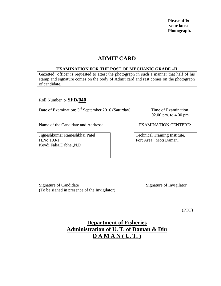# **ADMIT CARD**

### **EXAMINATION FOR THE POST OF MECHANIC GRADE –II**

Gazetted officer is requested to attest the photograph in such a manner that half of his stamp and signature comes on the body of Admit card and rest comes on the photograph of candidate.

Roll Number :- **SFD/040**

Date of Examination: 3<sup>rd</sup> September 2016 (Saturday). Time of Examination

02.00 pm. to 4.00 pm.

Name of the Candidate and Address: EXAMINATION CENTERE:

Jigneshkumar Rameshbhai Patel H.No.193/1, Kevdi Falia,Dabhel,N.D

Technical Training Institute, Fort Area, Moti Daman.

\_\_\_\_\_\_\_\_\_\_\_\_\_\_\_\_\_\_\_\_\_\_\_\_\_\_\_\_\_\_\_\_\_\_\_ \_\_\_\_\_\_\_\_\_\_\_\_\_\_\_\_\_\_\_\_\_\_\_\_\_\_\_ Signature of Candidate Signature of Invigilator (To be signed in presence of the Invigilator)

(PTO)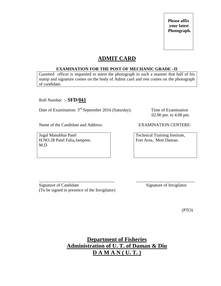# **ADMIT CARD**

### **EXAMINATION FOR THE POST OF MECHANIC GRADE –II**

Gazetted officer is requested to attest the photograph in such a manner that half of his stamp and signature comes on the body of Admit card and rest comes on the photograph of candidate.

Roll Number :- **SFD/041**

Date of Examination: 3<sup>rd</sup> September 2016 (Saturday). Time of Examination

02.00 pm. to 4.00 pm.

Name of the Candidate and Address: EXAMINATION CENTERE:

Jugal Manubhai Patel H.NO.28 Patel Falia,Jampore, M.D.

Technical Training Institute, Fort Area, Moti Daman.

\_\_\_\_\_\_\_\_\_\_\_\_\_\_\_\_\_\_\_\_\_\_\_\_\_\_\_\_\_\_\_\_\_\_\_ \_\_\_\_\_\_\_\_\_\_\_\_\_\_\_\_\_\_\_\_\_\_\_\_\_\_\_ Signature of Candidate Signature of Invigilator (To be signed in presence of the Invigilator)

(PTO)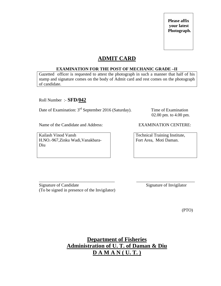# **ADMIT CARD**

### **EXAMINATION FOR THE POST OF MECHANIC GRADE –II**

Gazetted officer is requested to attest the photograph in such a manner that half of his stamp and signature comes on the body of Admit card and rest comes on the photograph of candidate.

Roll Number :- **SFD/042**

Date of Examination: 3<sup>rd</sup> September 2016 (Saturday). Time of Examination

02.00 pm. to 4.00 pm.

Name of the Candidate and Address: EXAMINATION CENTERE:

Kailash Vinod Vansh H.NO.-967,Zinku Wadi,Vanakbara-Diu

Technical Training Institute, Fort Area, Moti Daman.

\_\_\_\_\_\_\_\_\_\_\_\_\_\_\_\_\_\_\_\_\_\_\_\_\_\_\_\_\_\_\_\_\_\_\_ \_\_\_\_\_\_\_\_\_\_\_\_\_\_\_\_\_\_\_\_\_\_\_\_\_\_\_ Signature of Candidate Signature of Invigilator (To be signed in presence of the Invigilator)

(PTO)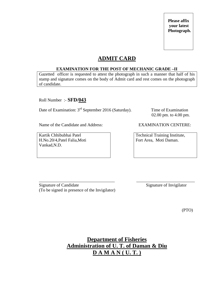# **ADMIT CARD**

### **EXAMINATION FOR THE POST OF MECHANIC GRADE –II**

Gazetted officer is requested to attest the photograph in such a manner that half of his stamp and signature comes on the body of Admit card and rest comes on the photograph of candidate.

Roll Number :- **SFD/043**

Date of Examination: 3<sup>rd</sup> September 2016 (Saturday). Time of Examination

02.00 pm. to 4.00 pm.

Name of the Candidate and Address: EXAMINATION CENTERE:

Kartik Chhibubhai Patel H.No.20/4,Patel Falia,Moti Vankad,N.D.

Technical Training Institute, Fort Area, Moti Daman.

\_\_\_\_\_\_\_\_\_\_\_\_\_\_\_\_\_\_\_\_\_\_\_\_\_\_\_\_\_\_\_\_\_\_\_ \_\_\_\_\_\_\_\_\_\_\_\_\_\_\_\_\_\_\_\_\_\_\_\_\_\_\_ Signature of Candidate Signature of Invigilator (To be signed in presence of the Invigilator)

(PTO)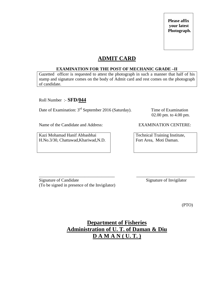# **ADMIT CARD**

### **EXAMINATION FOR THE POST OF MECHANIC GRADE –II**

Gazetted officer is requested to attest the photograph in such a manner that half of his stamp and signature comes on the body of Admit card and rest comes on the photograph of candidate.

Roll Number :- **SFD/044**

Date of Examination: 3<sup>rd</sup> September 2016 (Saturday). Time of Examination

02.00 pm. to 4.00 pm.

Name of the Candidate and Address: EXAMINATION CENTERE:

Kazi Mohamad Hanif Abbasbhai H.No.3/30, Chattawad,Khariwad,N.D.

Technical Training Institute, Fort Area, Moti Daman.

\_\_\_\_\_\_\_\_\_\_\_\_\_\_\_\_\_\_\_\_\_\_\_\_\_\_\_\_\_\_\_\_\_\_\_ \_\_\_\_\_\_\_\_\_\_\_\_\_\_\_\_\_\_\_\_\_\_\_\_\_\_\_ Signature of Candidate Signature of Invigilator (To be signed in presence of the Invigilator)

(PTO)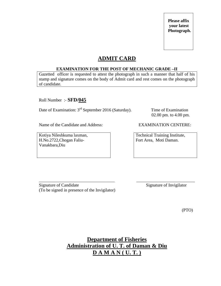# **ADMIT CARD**

### **EXAMINATION FOR THE POST OF MECHANIC GRADE –II**

Gazetted officer is requested to attest the photograph in such a manner that half of his stamp and signature comes on the body of Admit card and rest comes on the photograph of candidate.

Roll Number :- **SFD/045**

Date of Examination: 3<sup>rd</sup> September 2016 (Saturday). Time of Examination

02.00 pm. to 4.00 pm.

Name of the Candidate and Address: EXAMINATION CENTERE:

Kotiya Nileshkuma laxman, H.No.2722,Chogan Faliu-Vanakbara,Diu

Technical Training Institute, Fort Area, Moti Daman.

Signature of Candidate Signature of Invigilator (To be signed in presence of the Invigilator)

(PTO)

**Department of Fisheries Administration of U. T. of Daman & Diu D A M A N ( U. T. )**

\_\_\_\_\_\_\_\_\_\_\_\_\_\_\_\_\_\_\_\_\_\_\_\_\_\_\_\_\_\_\_\_\_\_\_ \_\_\_\_\_\_\_\_\_\_\_\_\_\_\_\_\_\_\_\_\_\_\_\_\_\_\_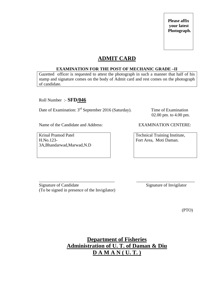# **ADMIT CARD**

#### **EXAMINATION FOR THE POST OF MECHANIC GRADE –II**

Gazetted officer is requested to attest the photograph in such a manner that half of his stamp and signature comes on the body of Admit card and rest comes on the photograph of candidate.

Roll Number :- **SFD/046**

Date of Examination: 3<sup>rd</sup> September 2016 (Saturday). Time of Examination

02.00 pm. to 4.00 pm.

Name of the Candidate and Address: EXAMINATION CENTERE:

Krinal Pramod Patel H.No.123- 3A,Bhandarwad,Marwad,N.D

Technical Training Institute, Fort Area, Moti Daman.

\_\_\_\_\_\_\_\_\_\_\_\_\_\_\_\_\_\_\_\_\_\_\_\_\_\_\_\_\_\_\_\_\_\_\_ \_\_\_\_\_\_\_\_\_\_\_\_\_\_\_\_\_\_\_\_\_\_\_\_\_\_\_ Signature of Candidate Signature of Invigilator (To be signed in presence of the Invigilator)

(PTO)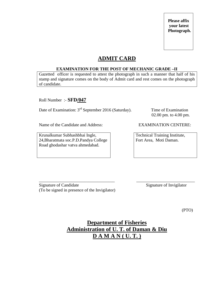# **ADMIT CARD**

### **EXAMINATION FOR THE POST OF MECHANIC GRADE –II**

Gazetted officer is requested to attest the photograph in such a manner that half of his stamp and signature comes on the body of Admit card and rest comes on the photograph of candidate.

Roll Number :- **SFD/047**

Date of Examination: 3<sup>rd</sup> September 2016 (Saturday). Time of Examination

02.00 pm. to 4.00 pm.

Name of the Candidate and Address: EXAMINATION CENTERE:

Krunalkumar Subhashbhai Ingle, 24,Bharatmata soc.P.D.Pandya College Road ghodashar vatva ahmedabad.

Technical Training Institute, Fort Area, Moti Daman.

Signature of Candidate Signature of Invigilator (To be signed in presence of the Invigilator)

(PTO)

# **Department of Fisheries Administration of U. T. of Daman & Diu D A M A N ( U. T. )**

\_\_\_\_\_\_\_\_\_\_\_\_\_\_\_\_\_\_\_\_\_\_\_\_\_\_\_\_\_\_\_\_\_\_\_ \_\_\_\_\_\_\_\_\_\_\_\_\_\_\_\_\_\_\_\_\_\_\_\_\_\_\_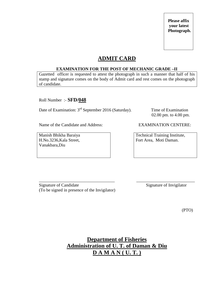# **ADMIT CARD**

### **EXAMINATION FOR THE POST OF MECHANIC GRADE –II**

Gazetted officer is requested to attest the photograph in such a manner that half of his stamp and signature comes on the body of Admit card and rest comes on the photograph of candidate.

Roll Number :- **SFD/048**

Date of Examination: 3<sup>rd</sup> September 2016 (Saturday). Time of Examination

02.00 pm. to 4.00 pm.

Name of the Candidate and Address: EXAMINATION CENTERE:

Manish Bhikha Baraiya H.No.3236,Kala Street, Vanakbara,Diu

Technical Training Institute, Fort Area, Moti Daman.

\_\_\_\_\_\_\_\_\_\_\_\_\_\_\_\_\_\_\_\_\_\_\_\_\_\_\_\_\_\_\_\_\_\_\_ \_\_\_\_\_\_\_\_\_\_\_\_\_\_\_\_\_\_\_\_\_\_\_\_\_\_\_ Signature of Candidate Signature of Invigilator (To be signed in presence of the Invigilator)

(PTO)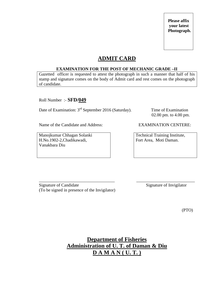# **ADMIT CARD**

### **EXAMINATION FOR THE POST OF MECHANIC GRADE –II**

Gazetted officer is requested to attest the photograph in such a manner that half of his stamp and signature comes on the body of Admit card and rest comes on the photograph of candidate.

Roll Number :- **SFD/049**

Date of Examination: 3<sup>rd</sup> September 2016 (Saturday). Time of Examination

02.00 pm. to 4.00 pm.

Name of the Candidate and Address: EXAMINATION CENTERE:

Manojkumar Chhagan Solanki H.No.1902-2,Chadikawadi, Vanakbara Diu

Technical Training Institute, Fort Area, Moti Daman.

\_\_\_\_\_\_\_\_\_\_\_\_\_\_\_\_\_\_\_\_\_\_\_\_\_\_\_\_\_\_\_\_\_\_\_ \_\_\_\_\_\_\_\_\_\_\_\_\_\_\_\_\_\_\_\_\_\_\_\_\_\_\_ Signature of Candidate Signature of Invigilator (To be signed in presence of the Invigilator)

(PTO)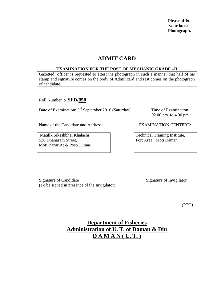# **ADMIT CARD**

### **EXAMINATION FOR THE POST OF MECHANIC GRADE –II**

Gazetted officer is requested to attest the photograph in such a manner that half of his stamp and signature comes on the body of Admit card and rest comes on the photograph of candidate.

Roll Number :- **SFD/050**

Date of Examination: 3<sup>rd</sup> September 2016 (Saturday). Time of Examination

02.00 pm. to 4.00 pm.

Name of the Candidate and Address: EXAMINATION CENTERE:

Maulik Sikeshbhai Khalashi 538,Dhanasath Street, Moti Bazar,At & Post-Dumas.

Technical Training Institute, Fort Area, Moti Daman.

\_\_\_\_\_\_\_\_\_\_\_\_\_\_\_\_\_\_\_\_\_\_\_\_\_\_\_\_\_\_\_\_\_\_\_ \_\_\_\_\_\_\_\_\_\_\_\_\_\_\_\_\_\_\_\_\_\_\_\_\_\_\_ Signature of Candidate Signature of Invigilator (To be signed in presence of the Invigilator)

(PTO)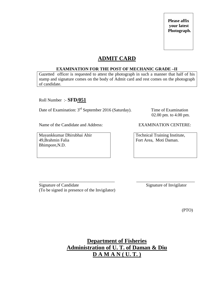# **ADMIT CARD**

### **EXAMINATION FOR THE POST OF MECHANIC GRADE –II**

Gazetted officer is requested to attest the photograph in such a manner that half of his stamp and signature comes on the body of Admit card and rest comes on the photograph of candidate.

Roll Number :- **SFD/051**

Date of Examination: 3<sup>rd</sup> September 2016 (Saturday). Time of Examination

02.00 pm. to 4.00 pm.

Name of the Candidate and Address: EXAMINATION CENTERE:

Mayankkumar Dhirubhai Ahir 49,Brahmin Falia Bhimpore,N.D.

Technical Training Institute, Fort Area, Moti Daman.

Signature of Candidate Signature of Invigilator (To be signed in presence of the Invigilator)

(PTO)

**Department of Fisheries Administration of U. T. of Daman & Diu D A M A N ( U. T. )**

\_\_\_\_\_\_\_\_\_\_\_\_\_\_\_\_\_\_\_\_\_\_\_\_\_\_\_\_\_\_\_\_\_\_\_ \_\_\_\_\_\_\_\_\_\_\_\_\_\_\_\_\_\_\_\_\_\_\_\_\_\_\_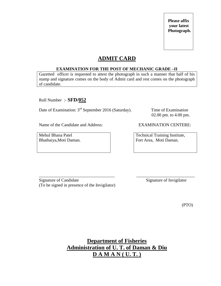# **ADMIT CARD**

### **EXAMINATION FOR THE POST OF MECHANIC GRADE –II**

Gazetted officer is requested to attest the photograph in such a manner that half of his stamp and signature comes on the body of Admit card and rest comes on the photograph of candidate.

Roll Number :- **SFD/052**

Date of Examination: 3<sup>rd</sup> September 2016 (Saturday). Time of Examination

02.00 pm. to 4.00 pm.

Name of the Candidate and Address: EXAMINATION CENTERE:

Mehul Bhana Patel Bhathaiya,Moti Daman.

Technical Training Institute, Fort Area, Moti Daman.

\_\_\_\_\_\_\_\_\_\_\_\_\_\_\_\_\_\_\_\_\_\_\_\_\_\_\_\_\_\_\_\_\_\_\_ \_\_\_\_\_\_\_\_\_\_\_\_\_\_\_\_\_\_\_\_\_\_\_\_\_\_\_ Signature of Candidate Signature of Invigilator (To be signed in presence of the Invigilator)

(PTO)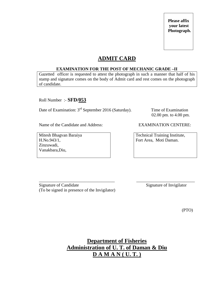# **ADMIT CARD**

### **EXAMINATION FOR THE POST OF MECHANIC GRADE –II**

Gazetted officer is requested to attest the photograph in such a manner that half of his stamp and signature comes on the body of Admit card and rest comes on the photograph of candidate.

Roll Number :- **SFD/053**

Date of Examination: 3<sup>rd</sup> September 2016 (Saturday). Time of Examination

02.00 pm. to 4.00 pm.

Name of the Candidate and Address: EXAMINATION CENTERE:

Mitesh Bhagvan Baraiya H.No.943/1, Zinzuwadi, Vanakbara,Diu,

Technical Training Institute, Fort Area, Moti Daman.

\_\_\_\_\_\_\_\_\_\_\_\_\_\_\_\_\_\_\_\_\_\_\_\_\_\_\_\_\_\_\_\_\_\_\_ \_\_\_\_\_\_\_\_\_\_\_\_\_\_\_\_\_\_\_\_\_\_\_\_\_\_\_ Signature of Candidate Signature of Invigilator (To be signed in presence of the Invigilator)

(PTO)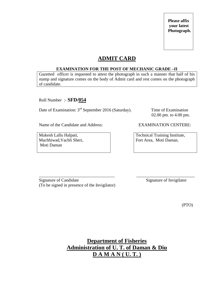# **ADMIT CARD**

### **EXAMINATION FOR THE POST OF MECHANIC GRADE –II**

Gazetted officer is requested to attest the photograph in such a manner that half of his stamp and signature comes on the body of Admit card and rest comes on the photograph of candidate.

Roll Number :- **SFD/054**

Date of Examination: 3<sup>rd</sup> September 2016 (Saturday). Time of Examination

02.00 pm. to 4.00 pm.

Name of the Candidate and Address: EXAMINATION CENTERE:

Mukesh Lallu Halpati, Machhiwad,Vachli Sheri, Moti Daman

Technical Training Institute, Fort Area, Moti Daman.

\_\_\_\_\_\_\_\_\_\_\_\_\_\_\_\_\_\_\_\_\_\_\_\_\_\_\_\_\_\_\_\_\_\_\_ \_\_\_\_\_\_\_\_\_\_\_\_\_\_\_\_\_\_\_\_\_\_\_\_\_\_\_ Signature of Candidate Signature of Invigilator (To be signed in presence of the Invigilator)

(PTO)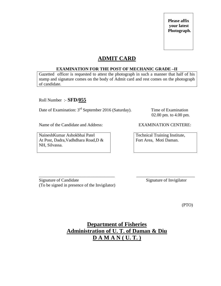# **ADMIT CARD**

### **EXAMINATION FOR THE POST OF MECHANIC GRADE –II**

Gazetted officer is requested to attest the photograph in such a manner that half of his stamp and signature comes on the body of Admit card and rest comes on the photograph of candidate.

Roll Number :- **SFD/055**

Date of Examination: 3<sup>rd</sup> September 2016 (Saturday). Time of Examination

02.00 pm. to 4.00 pm.

Name of the Candidate and Address: EXAMINATION CENTERE:

NaineshKumar Ashokbhai Patel At Post, Dadra,Vadhdhara Road,D & NH, Silvassa.

Technical Training Institute, Fort Area, Moti Daman.

\_\_\_\_\_\_\_\_\_\_\_\_\_\_\_\_\_\_\_\_\_\_\_\_\_\_\_\_\_\_\_\_\_\_\_ \_\_\_\_\_\_\_\_\_\_\_\_\_\_\_\_\_\_\_\_\_\_\_\_\_\_\_ Signature of Candidate Signature of Invigilator (To be signed in presence of the Invigilator)

(PTO)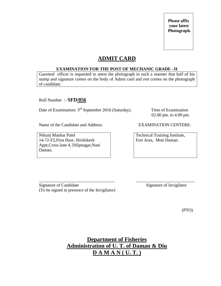# **ADMIT CARD**

### **EXAMINATION FOR THE POST OF MECHANIC GRADE –II**

Gazetted officer is requested to attest the photograph in such a manner that half of his stamp and signature comes on the body of Admit card and rest comes on the photograph of candidate.

Roll Number :- **SFD/056**

Date of Examination: 3<sup>rd</sup> September 2016 (Saturday). Time of Examination

02.00 pm. to 4.00 pm.

Name of the Candidate and Address: EXAMINATION CENTERE:

Nikunj Manhar Patel 14-72-F2,First floor, Hrishikesh Appt,Cross lane 4, Dilipnagar,Nani Daman.

Technical Training Institute, Fort Area, Moti Daman.

\_\_\_\_\_\_\_\_\_\_\_\_\_\_\_\_\_\_\_\_\_\_\_\_\_\_\_\_\_\_\_\_\_\_\_ \_\_\_\_\_\_\_\_\_\_\_\_\_\_\_\_\_\_\_\_\_\_\_\_\_\_\_ Signature of Candidate Signature of Invigilator (To be signed in presence of the Invigilator)

(PTO)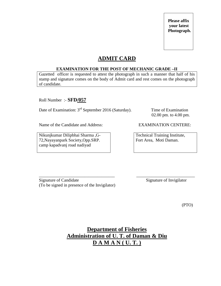# **ADMIT CARD**

### **EXAMINATION FOR THE POST OF MECHANIC GRADE –II**

Gazetted officer is requested to attest the photograph in such a manner that half of his stamp and signature comes on the body of Admit card and rest comes on the photograph of candidate.

Roll Number :- **SFD/057**

Date of Examination: 3<sup>rd</sup> September 2016 (Saturday). Time of Examination

02.00 pm. to 4.00 pm.

Name of the Candidate and Address: EXAMINATION CENTERE:

Nikunjkumar Dilipbhai Sharma ,G-72,Nayayanpark Society,Opp.SRP. camp kapadvanj road nadiyad

Technical Training Institute, Fort Area, Moti Daman.

\_\_\_\_\_\_\_\_\_\_\_\_\_\_\_\_\_\_\_\_\_\_\_\_\_\_\_\_\_\_\_\_\_\_\_ \_\_\_\_\_\_\_\_\_\_\_\_\_\_\_\_\_\_\_\_\_\_\_\_\_\_\_ Signature of Candidate Signature of Invigilator (To be signed in presence of the Invigilator)

(PTO)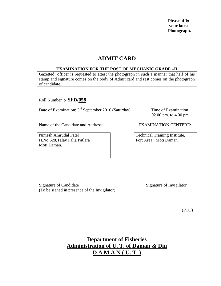# **ADMIT CARD**

### **EXAMINATION FOR THE POST OF MECHANIC GRADE –II**

Gazetted officer is requested to attest the photograph in such a manner that half of his stamp and signature comes on the body of Admit card and rest comes on the photograph of candidate.

Roll Number :- **SFD/058**

Date of Examination: 3<sup>rd</sup> September 2016 (Saturday). Time of Examination

02.00 pm. to 4.00 pm.

Name of the Candidate and Address: EXAMINATION CENTERE:

Nimesh Amrutlal Patel H.No.628,Talav Falia Patlara Moti Daman.

Technical Training Institute, Fort Area, Moti Daman.

\_\_\_\_\_\_\_\_\_\_\_\_\_\_\_\_\_\_\_\_\_\_\_\_\_\_\_\_\_\_\_\_\_\_\_ \_\_\_\_\_\_\_\_\_\_\_\_\_\_\_\_\_\_\_\_\_\_\_\_\_\_\_ Signature of Candidate Signature of Invigilator (To be signed in presence of the Invigilator)

(PTO)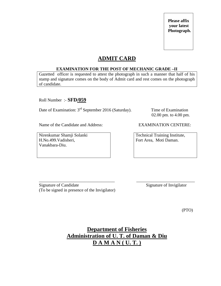# **ADMIT CARD**

### **EXAMINATION FOR THE POST OF MECHANIC GRADE –II**

Gazetted officer is requested to attest the photograph in such a manner that half of his stamp and signature comes on the body of Admit card and rest comes on the photograph of candidate.

Roll Number :- **SFD/059**

Date of Examination: 3<sup>rd</sup> September 2016 (Saturday). Time of Examination

02.00 pm. to 4.00 pm.

Name of the Candidate and Address: EXAMINATION CENTERE:

Nirenkumar Shamji Solanki H.No.499.Vadisheri, Vanakbara-Diu.

Technical Training Institute, Fort Area, Moti Daman.

\_\_\_\_\_\_\_\_\_\_\_\_\_\_\_\_\_\_\_\_\_\_\_\_\_\_\_\_\_\_\_\_\_\_\_ \_\_\_\_\_\_\_\_\_\_\_\_\_\_\_\_\_\_\_\_\_\_\_\_\_\_\_ Signature of Candidate Signature of Invigilator (To be signed in presence of the Invigilator)

(PTO)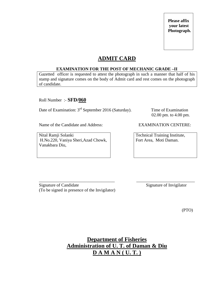# **ADMIT CARD**

### **EXAMINATION FOR THE POST OF MECHANIC GRADE –II**

Gazetted officer is requested to attest the photograph in such a manner that half of his stamp and signature comes on the body of Admit card and rest comes on the photograph of candidate.

Roll Number :- **SFD/060**

Date of Examination: 3<sup>rd</sup> September 2016 (Saturday). Time of Examination

02.00 pm. to 4.00 pm.

Name of the Candidate and Address: EXAMINATION CENTERE:

Nital Ramji Solanki H.No.220, Vaniya Sheri,Azad Chowk, Vanakbara Diu,

Technical Training Institute, Fort Area, Moti Daman.

\_\_\_\_\_\_\_\_\_\_\_\_\_\_\_\_\_\_\_\_\_\_\_\_\_\_\_\_\_\_\_\_\_\_\_ \_\_\_\_\_\_\_\_\_\_\_\_\_\_\_\_\_\_\_\_\_\_\_\_\_\_\_ Signature of Candidate Signature of Invigilator (To be signed in presence of the Invigilator)

(PTO)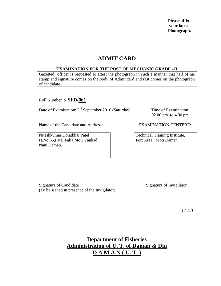# **ADMIT CARD**

### **EXAMINATION FOR THE POST OF MECHANIC GRADE –II**

Gazetted officer is requested to attest the photograph in such a manner that half of his stamp and signature comes on the body of Admit card and rest comes on the photograph of candidate.

Roll Number :- **SFD/061**

Date of Examination: 3<sup>rd</sup> September 2016 (Saturday). Time of Examination

02.00 pm. to 4.00 pm.

Name of the Candidate and Address: EXAMINATION CENTERE:

Niteshkumar Dolatbhai Patel H.No.66,Patel Falia,Moti Vankad, Nani Daman.

Technical Training Institute, Fort Area, Moti Daman.

\_\_\_\_\_\_\_\_\_\_\_\_\_\_\_\_\_\_\_\_\_\_\_\_\_\_\_\_\_\_\_\_\_\_\_ \_\_\_\_\_\_\_\_\_\_\_\_\_\_\_\_\_\_\_\_\_\_\_\_\_\_\_ Signature of Candidate Signature of Invigilator (To be signed in presence of the Invigilator)

(PTO)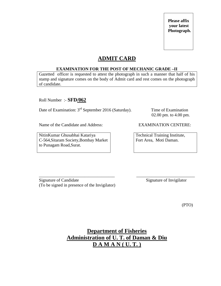# **ADMIT CARD**

### **EXAMINATION FOR THE POST OF MECHANIC GRADE –II**

Gazetted officer is requested to attest the photograph in such a manner that half of his stamp and signature comes on the body of Admit card and rest comes on the photograph of candidate.

Roll Number :- **SFD/062**

Date of Examination: 3<sup>rd</sup> September 2016 (Saturday). Time of Examination

02.00 pm. to 4.00 pm.

Name of the Candidate and Address: EXAMINATION CENTERE:

NitinKumar Ghusabhai Katariya C-564,Sitaram Society,Bombay Market to Punagam Road,Surat.

Technical Training Institute, Fort Area, Moti Daman.

\_\_\_\_\_\_\_\_\_\_\_\_\_\_\_\_\_\_\_\_\_\_\_\_\_\_\_\_\_\_\_\_\_\_\_ \_\_\_\_\_\_\_\_\_\_\_\_\_\_\_\_\_\_\_\_\_\_\_\_\_\_\_ Signature of Candidate Signature of Invigilator (To be signed in presence of the Invigilator)

(PTO)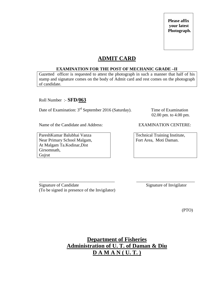# **ADMIT CARD**

### **EXAMINATION FOR THE POST OF MECHANIC GRADE –II**

Gazetted officer is requested to attest the photograph in such a manner that half of his stamp and signature comes on the body of Admit card and rest comes on the photograph of candidate.

Roll Number :- **SFD/063**

Date of Examination: 3<sup>rd</sup> September 2016 (Saturday). Time of Examination

02.00 pm. to 4.00 pm.

Name of the Candidate and Address: EXAMINATION CENTERE:

PareshKumar Balubhai Vanza Near Primary School Malgam, At Malgam Ta.Kodinar,Dist Girsomnath, Gujrat

Technical Training Institute, Fort Area, Moti Daman.

\_\_\_\_\_\_\_\_\_\_\_\_\_\_\_\_\_\_\_\_\_\_\_\_\_\_\_\_\_\_\_\_\_\_\_ \_\_\_\_\_\_\_\_\_\_\_\_\_\_\_\_\_\_\_\_\_\_\_\_\_\_\_ Signature of Candidate Signature of Invigilator (To be signed in presence of the Invigilator)

(PTO)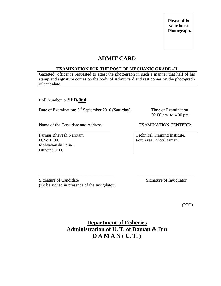# **ADMIT CARD**

### **EXAMINATION FOR THE POST OF MECHANIC GRADE –II**

Gazetted officer is requested to attest the photograph in such a manner that half of his stamp and signature comes on the body of Admit card and rest comes on the photograph of candidate.

Roll Number :- **SFD/064**

Date of Examination: 3<sup>rd</sup> September 2016 (Saturday). Time of Examination

02.00 pm. to 4.00 pm.

Name of the Candidate and Address: EXAMINATION CENTERE:

Parmar Bhavesh Narotam H.No.1134, Mahyavanshi Falia , Dunetha,N.D.

Technical Training Institute, Fort Area, Moti Daman.

\_\_\_\_\_\_\_\_\_\_\_\_\_\_\_\_\_\_\_\_\_\_\_\_\_\_\_\_\_\_\_\_\_\_\_ \_\_\_\_\_\_\_\_\_\_\_\_\_\_\_\_\_\_\_\_\_\_\_\_\_\_\_ Signature of Candidate Signature of Invigilator (To be signed in presence of the Invigilator)

(PTO)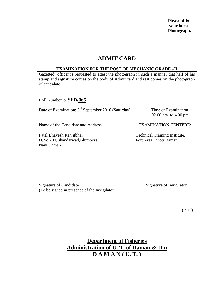# **ADMIT CARD**

### **EXAMINATION FOR THE POST OF MECHANIC GRADE –II**

Gazetted officer is requested to attest the photograph in such a manner that half of his stamp and signature comes on the body of Admit card and rest comes on the photograph of candidate.

Roll Number :- **SFD/065**

Date of Examination: 3<sup>rd</sup> September 2016 (Saturday). Time of Examination

02.00 pm. to 4.00 pm.

Name of the Candidate and Address: EXAMINATION CENTERE:

Patel Bhavesh Ranjitbhai H.No.204,Bhandarwad,Bhimpore , Nani Daman

Technical Training Institute, Fort Area, Moti Daman.

\_\_\_\_\_\_\_\_\_\_\_\_\_\_\_\_\_\_\_\_\_\_\_\_\_\_\_\_\_\_\_\_\_\_\_ \_\_\_\_\_\_\_\_\_\_\_\_\_\_\_\_\_\_\_\_\_\_\_\_\_\_\_ Signature of Candidate Signature of Invigilator (To be signed in presence of the Invigilator)

(PTO)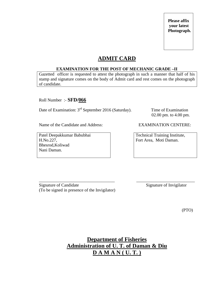# **ADMIT CARD**

### **EXAMINATION FOR THE POST OF MECHANIC GRADE –II**

Gazetted officer is requested to attest the photograph in such a manner that half of his stamp and signature comes on the body of Admit card and rest comes on the photograph of candidate.

Roll Number :- **SFD/066**

Date of Examination: 3<sup>rd</sup> September 2016 (Saturday). Time of Examination

02.00 pm. to 4.00 pm.

Name of the Candidate and Address: EXAMINATION CENTERE:

Patel Deepakkumar Babubhai H.No.227, Bhesrod,Koliwad Nani Daman.

Technical Training Institute, Fort Area, Moti Daman.

\_\_\_\_\_\_\_\_\_\_\_\_\_\_\_\_\_\_\_\_\_\_\_\_\_\_\_\_\_\_\_\_\_\_\_ \_\_\_\_\_\_\_\_\_\_\_\_\_\_\_\_\_\_\_\_\_\_\_\_\_\_\_ Signature of Candidate Signature of Invigilator (To be signed in presence of the Invigilator)

(PTO)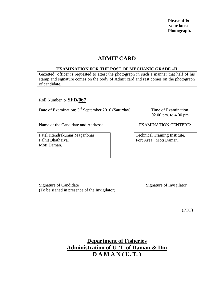# **ADMIT CARD**

### **EXAMINATION FOR THE POST OF MECHANIC GRADE –II**

Gazetted officer is requested to attest the photograph in such a manner that half of his stamp and signature comes on the body of Admit card and rest comes on the photograph of candidate.

Roll Number :- **SFD/067**

Date of Examination: 3<sup>rd</sup> September 2016 (Saturday). Time of Examination

02.00 pm. to 4.00 pm.

Name of the Candidate and Address: EXAMINATION CENTERE:

Patel Jitendrakumar Maganbhai Palhit Bhathaiya, Moti Daman.

Technical Training Institute, Fort Area, Moti Daman.

\_\_\_\_\_\_\_\_\_\_\_\_\_\_\_\_\_\_\_\_\_\_\_\_\_\_\_\_\_\_\_\_\_\_\_ \_\_\_\_\_\_\_\_\_\_\_\_\_\_\_\_\_\_\_\_\_\_\_\_\_\_\_ Signature of Candidate Signature of Invigilator (To be signed in presence of the Invigilator)

(PTO)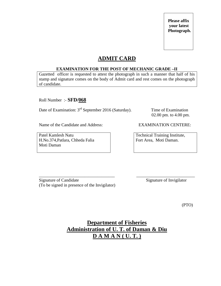# **ADMIT CARD**

### **EXAMINATION FOR THE POST OF MECHANIC GRADE –II**

Gazetted officer is requested to attest the photograph in such a manner that half of his stamp and signature comes on the body of Admit card and rest comes on the photograph of candidate.

Roll Number :- **SFD/068**

Date of Examination: 3<sup>rd</sup> September 2016 (Saturday). Time of Examination

02.00 pm. to 4.00 pm.

Name of the Candidate and Address: EXAMINATION CENTERE:

Patel Kamlesh Natu H.No.374,Patlara, Chheda Falia Moti Daman

Technical Training Institute, Fort Area, Moti Daman.

\_\_\_\_\_\_\_\_\_\_\_\_\_\_\_\_\_\_\_\_\_\_\_\_\_\_\_\_\_\_\_\_\_\_\_ \_\_\_\_\_\_\_\_\_\_\_\_\_\_\_\_\_\_\_\_\_\_\_\_\_\_\_ Signature of Candidate Signature of Invigilator (To be signed in presence of the Invigilator)

(PTO)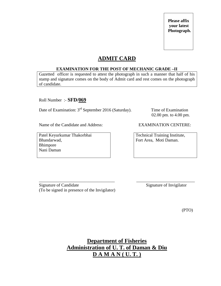# **ADMIT CARD**

### **EXAMINATION FOR THE POST OF MECHANIC GRADE –II**

Gazetted officer is requested to attest the photograph in such a manner that half of his stamp and signature comes on the body of Admit card and rest comes on the photograph of candidate.

Roll Number :- **SFD/069**

Date of Examination: 3<sup>rd</sup> September 2016 (Saturday). Time of Examination

02.00 pm. to 4.00 pm.

Name of the Candidate and Address: EXAMINATION CENTERE:

Patel Keyurkumar Thakorbhai Bhandarwad, Bhimpore Nani Daman

Technical Training Institute, Fort Area, Moti Daman.

\_\_\_\_\_\_\_\_\_\_\_\_\_\_\_\_\_\_\_\_\_\_\_\_\_\_\_\_\_\_\_\_\_\_\_ \_\_\_\_\_\_\_\_\_\_\_\_\_\_\_\_\_\_\_\_\_\_\_\_\_\_\_ Signature of Candidate Signature of Invigilator (To be signed in presence of the Invigilator)

(PTO)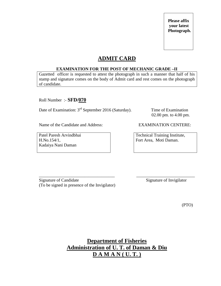# **ADMIT CARD**

### **EXAMINATION FOR THE POST OF MECHANIC GRADE –II**

Gazetted officer is requested to attest the photograph in such a manner that half of his stamp and signature comes on the body of Admit card and rest comes on the photograph of candidate.

Roll Number :- **SFD/070**

Date of Examination: 3<sup>rd</sup> September 2016 (Saturday). Time of Examination

02.00 pm. to 4.00 pm.

Name of the Candidate and Address: EXAMINATION CENTERE:

Patel Paresh Arvindbhai H.No.154/1, Kadaiya Nani Daman

Technical Training Institute, Fort Area, Moti Daman.

\_\_\_\_\_\_\_\_\_\_\_\_\_\_\_\_\_\_\_\_\_\_\_\_\_\_\_\_\_\_\_\_\_\_\_ \_\_\_\_\_\_\_\_\_\_\_\_\_\_\_\_\_\_\_\_\_\_\_\_\_\_\_ Signature of Candidate Signature of Invigilator (To be signed in presence of the Invigilator)

(PTO)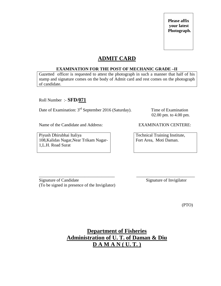## **ADMIT CARD**

#### **EXAMINATION FOR THE POST OF MECHANIC GRADE –II**

Gazetted officer is requested to attest the photograph in such a manner that half of his stamp and signature comes on the body of Admit card and rest comes on the photograph of candidate.

Roll Number :- **SFD/071**

Date of Examination: 3<sup>rd</sup> September 2016 (Saturday). Time of Examination

02.00 pm. to 4.00 pm.

Name of the Candidate and Address: EXAMINATION CENTERE:

Piyush Dhirubhai Italiya 108,Kalidas Nagar,Near Trikam Nagar-1,L.H. Road Surat

Technical Training Institute, Fort Area, Moti Daman.

\_\_\_\_\_\_\_\_\_\_\_\_\_\_\_\_\_\_\_\_\_\_\_\_\_\_\_\_\_\_\_\_\_\_\_ \_\_\_\_\_\_\_\_\_\_\_\_\_\_\_\_\_\_\_\_\_\_\_\_\_\_\_ Signature of Candidate Signature of Invigilator (To be signed in presence of the Invigilator)

(PTO)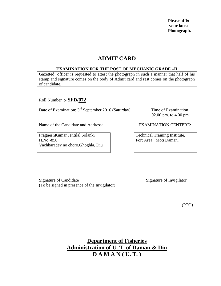## **ADMIT CARD**

#### **EXAMINATION FOR THE POST OF MECHANIC GRADE –II**

Gazetted officer is requested to attest the photograph in such a manner that half of his stamp and signature comes on the body of Admit card and rest comes on the photograph of candidate.

Roll Number :- **SFD/072**

Date of Examination: 3<sup>rd</sup> September 2016 (Saturday). Time of Examination

02.00 pm. to 4.00 pm.

Name of the Candidate and Address: EXAMINATION CENTERE:

PragneshKumar Jentilal Solanki H.No.-856, Vachharadev no choro,Ghoghla, Diu

Technical Training Institute, Fort Area, Moti Daman.

\_\_\_\_\_\_\_\_\_\_\_\_\_\_\_\_\_\_\_\_\_\_\_\_\_\_\_\_\_\_\_\_\_\_\_ \_\_\_\_\_\_\_\_\_\_\_\_\_\_\_\_\_\_\_\_\_\_\_\_\_\_\_ Signature of Candidate Signature of Invigilator (To be signed in presence of the Invigilator)

(PTO)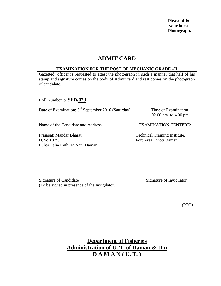## **ADMIT CARD**

#### **EXAMINATION FOR THE POST OF MECHANIC GRADE –II**

Gazetted officer is requested to attest the photograph in such a manner that half of his stamp and signature comes on the body of Admit card and rest comes on the photograph of candidate.

Roll Number :- **SFD/073**

Date of Examination: 3<sup>rd</sup> September 2016 (Saturday). Time of Examination

02.00 pm. to 4.00 pm.

Name of the Candidate and Address: EXAMINATION CENTERE:

Prajapati Mandar Bharat H.No.1075, Luhar Falia Kathiria,Nani Daman

Technical Training Institute, Fort Area, Moti Daman.

\_\_\_\_\_\_\_\_\_\_\_\_\_\_\_\_\_\_\_\_\_\_\_\_\_\_\_\_\_\_\_\_\_\_\_ \_\_\_\_\_\_\_\_\_\_\_\_\_\_\_\_\_\_\_\_\_\_\_\_\_\_\_ Signature of Candidate Signature of Invigilator (To be signed in presence of the Invigilator)

(PTO)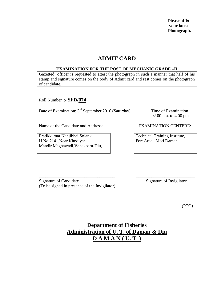## **ADMIT CARD**

#### **EXAMINATION FOR THE POST OF MECHANIC GRADE –II**

Gazetted officer is requested to attest the photograph in such a manner that half of his stamp and signature comes on the body of Admit card and rest comes on the photograph of candidate.

Roll Number :- **SFD/074**

Date of Examination: 3<sup>rd</sup> September 2016 (Saturday). Time of Examination

02.00 pm. to 4.00 pm.

Name of the Candidate and Address: EXAMINATION CENTERE:

Pratikkumar Nanjibhai Solanki H.No.2141,Near Khodiyar Mandir,Meghawadi,Vanakbara-Diu,

Technical Training Institute, Fort Area, Moti Daman.

\_\_\_\_\_\_\_\_\_\_\_\_\_\_\_\_\_\_\_\_\_\_\_\_\_\_\_\_\_\_\_\_\_\_\_ \_\_\_\_\_\_\_\_\_\_\_\_\_\_\_\_\_\_\_\_\_\_\_\_\_\_\_ Signature of Candidate Signature of Invigilator (To be signed in presence of the Invigilator)

(PTO)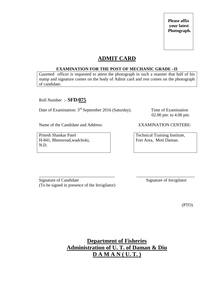## **ADMIT CARD**

#### **EXAMINATION FOR THE POST OF MECHANIC GRADE –II**

Gazetted officer is requested to attest the photograph in such a manner that half of his stamp and signature comes on the body of Admit card and rest comes on the photograph of candidate.

Roll Number :- **SFD/075**

Date of Examination: 3<sup>rd</sup> September 2016 (Saturday). Time of Examination

02.00 pm. to 4.00 pm.

Name of the Candidate and Address: EXAMINATION CENTERE:

Pritesh Shankar Patel H-841, Bhensroad,wadchoki, N.D.

Technical Training Institute, Fort Area, Moti Daman.

\_\_\_\_\_\_\_\_\_\_\_\_\_\_\_\_\_\_\_\_\_\_\_\_\_\_\_\_\_\_\_\_\_\_\_ \_\_\_\_\_\_\_\_\_\_\_\_\_\_\_\_\_\_\_\_\_\_\_\_\_\_\_ Signature of Candidate Signature of Invigilator (To be signed in presence of the Invigilator)

(PTO)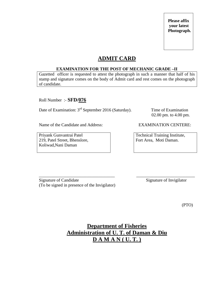## **ADMIT CARD**

#### **EXAMINATION FOR THE POST OF MECHANIC GRADE –II**

Gazetted officer is requested to attest the photograph in such a manner that half of his stamp and signature comes on the body of Admit card and rest comes on the photograph of candidate.

Roll Number :- **SFD/076**

Date of Examination: 3<sup>rd</sup> September 2016 (Saturday). Time of Examination

02.00 pm. to 4.00 pm.

Name of the Candidate and Address: EXAMINATION CENTERE:

Priyank Gunvantrai Patel 219, Patel Street, Bhenslore, Koliwad,Nani Daman

Technical Training Institute, Fort Area, Moti Daman.

\_\_\_\_\_\_\_\_\_\_\_\_\_\_\_\_\_\_\_\_\_\_\_\_\_\_\_\_\_\_\_\_\_\_\_ \_\_\_\_\_\_\_\_\_\_\_\_\_\_\_\_\_\_\_\_\_\_\_\_\_\_\_ Signature of Candidate Signature of Invigilator (To be signed in presence of the Invigilator)

(PTO)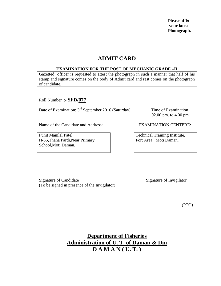## **ADMIT CARD**

#### **EXAMINATION FOR THE POST OF MECHANIC GRADE –II**

Gazetted officer is requested to attest the photograph in such a manner that half of his stamp and signature comes on the body of Admit card and rest comes on the photograph of candidate.

Roll Number :- **SFD/077**

Date of Examination: 3<sup>rd</sup> September 2016 (Saturday). Time of Examination

02.00 pm. to 4.00 pm.

Name of the Candidate and Address: EXAMINATION CENTERE:

Punit Manilal Patel H-35,Thana Pardi,Near Primary School,Moti Daman.

Technical Training Institute, Fort Area, Moti Daman.

\_\_\_\_\_\_\_\_\_\_\_\_\_\_\_\_\_\_\_\_\_\_\_\_\_\_\_\_\_\_\_\_\_\_\_ \_\_\_\_\_\_\_\_\_\_\_\_\_\_\_\_\_\_\_\_\_\_\_\_\_\_\_ Signature of Candidate Signature of Invigilator (To be signed in presence of the Invigilator)

(PTO)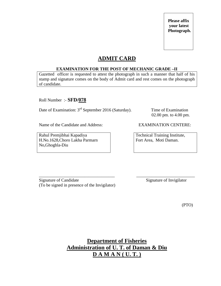## **ADMIT CARD**

#### **EXAMINATION FOR THE POST OF MECHANIC GRADE –II**

Gazetted officer is requested to attest the photograph in such a manner that half of his stamp and signature comes on the body of Admit card and rest comes on the photograph of candidate.

Roll Number :- **SFD/078**

Date of Examination: 3<sup>rd</sup> September 2016 (Saturday). Time of Examination

02.00 pm. to 4.00 pm.

Name of the Candidate and Address: EXAMINATION CENTERE:

Rahul Premjibhai Kapadiya H.No.1628,Choro Lakha Parmarn No,Ghoghla-Diu

Technical Training Institute, Fort Area, Moti Daman.

\_\_\_\_\_\_\_\_\_\_\_\_\_\_\_\_\_\_\_\_\_\_\_\_\_\_\_\_\_\_\_\_\_\_\_ \_\_\_\_\_\_\_\_\_\_\_\_\_\_\_\_\_\_\_\_\_\_\_\_\_\_\_ Signature of Candidate Signature of Invigilator (To be signed in presence of the Invigilator)

(PTO)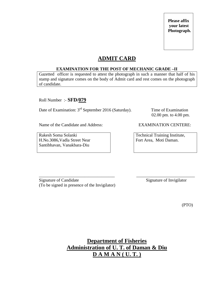## **ADMIT CARD**

#### **EXAMINATION FOR THE POST OF MECHANIC GRADE –II**

Gazetted officer is requested to attest the photograph in such a manner that half of his stamp and signature comes on the body of Admit card and rest comes on the photograph of candidate.

Roll Number :- **SFD/079**

Date of Examination: 3<sup>rd</sup> September 2016 (Saturday). Time of Examination

02.00 pm. to 4.00 pm.

Name of the Candidate and Address: EXAMINATION CENTERE:

Rakesh Soma Solanki H.No.3086,Vadla Street Near Santibhavan, Vanakbara-Diu

Technical Training Institute, Fort Area, Moti Daman.

\_\_\_\_\_\_\_\_\_\_\_\_\_\_\_\_\_\_\_\_\_\_\_\_\_\_\_\_\_\_\_\_\_\_\_ \_\_\_\_\_\_\_\_\_\_\_\_\_\_\_\_\_\_\_\_\_\_\_\_\_\_\_ Signature of Candidate Signature of Invigilator (To be signed in presence of the Invigilator)

(PTO)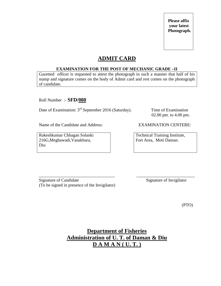## **ADMIT CARD**

#### **EXAMINATION FOR THE POST OF MECHANIC GRADE –II**

Gazetted officer is requested to attest the photograph in such a manner that half of his stamp and signature comes on the body of Admit card and rest comes on the photograph of candidate.

Roll Number :- **SFD/080**

Date of Examination: 3<sup>rd</sup> September 2016 (Saturday). Time of Examination

02.00 pm. to 4.00 pm.

Name of the Candidate and Address: EXAMINATION CENTERE:

Rakeshkumar Chhagan Solanki 216G,Meghawadi,Vanakbara, Diu

Technical Training Institute, Fort Area, Moti Daman.

\_\_\_\_\_\_\_\_\_\_\_\_\_\_\_\_\_\_\_\_\_\_\_\_\_\_\_\_\_\_\_\_\_\_\_ \_\_\_\_\_\_\_\_\_\_\_\_\_\_\_\_\_\_\_\_\_\_\_\_\_\_\_ Signature of Candidate Signature of Invigilator (To be signed in presence of the Invigilator)

(PTO)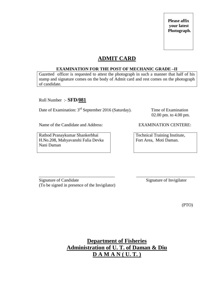## **ADMIT CARD**

#### **EXAMINATION FOR THE POST OF MECHANIC GRADE –II**

Gazetted officer is requested to attest the photograph in such a manner that half of his stamp and signature comes on the body of Admit card and rest comes on the photograph of candidate.

Roll Number :- **SFD/081**

Date of Examination: 3<sup>rd</sup> September 2016 (Saturday). Time of Examination

02.00 pm. to 4.00 pm.

Name of the Candidate and Address: EXAMINATION CENTERE:

Rathod Pranaykumar Shankerbhai H.No.208, Mahyavanshi Falia Devka Nani Daman

Technical Training Institute, Fort Area, Moti Daman.

\_\_\_\_\_\_\_\_\_\_\_\_\_\_\_\_\_\_\_\_\_\_\_\_\_\_\_\_\_\_\_\_\_\_\_ \_\_\_\_\_\_\_\_\_\_\_\_\_\_\_\_\_\_\_\_\_\_\_\_\_\_\_ Signature of Candidate Signature of Invigilator (To be signed in presence of the Invigilator)

(PTO)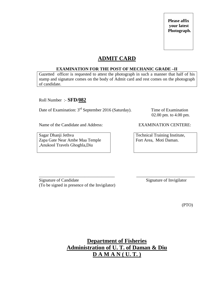## **ADMIT CARD**

#### **EXAMINATION FOR THE POST OF MECHANIC GRADE –II**

Gazetted officer is requested to attest the photograph in such a manner that half of his stamp and signature comes on the body of Admit card and rest comes on the photograph of candidate.

Roll Number :- **SFD/082**

Date of Examination: 3<sup>rd</sup> September 2016 (Saturday). Time of Examination

02.00 pm. to 4.00 pm.

Name of the Candidate and Address: EXAMINATION CENTERE:

Sagar Dhanji Jethva Zapa Gate Near Ambe Maa Temple ,Anukool Travels Ghoghla,Diu

Technical Training Institute, Fort Area, Moti Daman.

\_\_\_\_\_\_\_\_\_\_\_\_\_\_\_\_\_\_\_\_\_\_\_\_\_\_\_\_\_\_\_\_\_\_\_ \_\_\_\_\_\_\_\_\_\_\_\_\_\_\_\_\_\_\_\_\_\_\_\_\_\_\_ Signature of Candidate Signature of Invigilator (To be signed in presence of the Invigilator)

(PTO)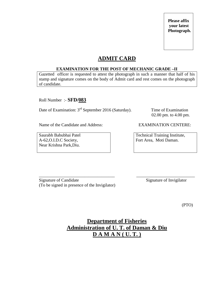## **ADMIT CARD**

#### **EXAMINATION FOR THE POST OF MECHANIC GRADE –II**

Gazetted officer is requested to attest the photograph in such a manner that half of his stamp and signature comes on the body of Admit card and rest comes on the photograph of candidate.

Roll Number :- **SFD/083**

Date of Examination: 3<sup>rd</sup> September 2016 (Saturday). Time of Examination

02.00 pm. to 4.00 pm.

Name of the Candidate and Address: EXAMINATION CENTERE:

Saurabh Babubhai Patel A-62,O.I.D.C Society, Near Krishna Park,Diu.

Technical Training Institute, Fort Area, Moti Daman.

\_\_\_\_\_\_\_\_\_\_\_\_\_\_\_\_\_\_\_\_\_\_\_\_\_\_\_\_\_\_\_\_\_\_\_ \_\_\_\_\_\_\_\_\_\_\_\_\_\_\_\_\_\_\_\_\_\_\_\_\_\_\_ Signature of Candidate Signature of Invigilator (To be signed in presence of the Invigilator)

(PTO)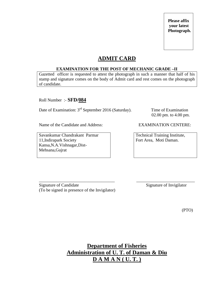## **ADMIT CARD**

#### **EXAMINATION FOR THE POST OF MECHANIC GRADE –II**

Gazetted officer is requested to attest the photograph in such a manner that half of his stamp and signature comes on the body of Admit card and rest comes on the photograph of candidate.

Roll Number :- **SFD/084**

Date of Examination: 3<sup>rd</sup> September 2016 (Saturday). Time of Examination

02.00 pm. to 4.00 pm.

Name of the Candidate and Address: EXAMINATION CENTERE:

Savankumar Chandrakant Parmar 11,Indirapark Society Kansa,N.A.Vishnagar,Dist-Mehsana,Gujrat

Technical Training Institute, Fort Area, Moti Daman.

\_\_\_\_\_\_\_\_\_\_\_\_\_\_\_\_\_\_\_\_\_\_\_\_\_\_\_\_\_\_\_\_\_\_\_ \_\_\_\_\_\_\_\_\_\_\_\_\_\_\_\_\_\_\_\_\_\_\_\_\_\_\_ Signature of Candidate Signature of Invigilator (To be signed in presence of the Invigilator)

(PTO)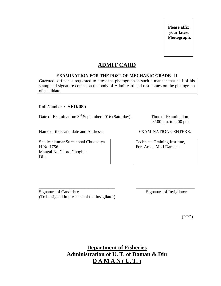## **ADMIT CARD**

#### **EXAMINATION FOR THE POST OF MECHANIC GRADE –II**

Gazetted officer is requested to attest the photograph in such a manner that half of his stamp and signature comes on the body of Admit card and rest comes on the photograph of candidate.

Roll Number :- **SFD/085**

Date of Examination: 3<sup>rd</sup> September 2016 (Saturday). Time of Examination

Name of the Candidate and Address: EXAMINATION CENTERE:

Shaileshkumar Sureshbhai Chudadiya H.No.1756. Mangal No Choro,Ghoghla, Diu.

02.00 pm. to 4.00 pm.

Technical Training Institute, Fort Area, Moti Daman.

\_\_\_\_\_\_\_\_\_\_\_\_\_\_\_\_\_\_\_\_\_\_\_\_\_\_\_\_\_\_\_\_\_\_\_ \_\_\_\_\_\_\_\_\_\_\_\_\_\_\_\_\_\_\_\_\_\_\_\_\_\_\_ Signature of Candidate Signature of Invigilator (To be signed in presence of the Invigilator)

(PTO)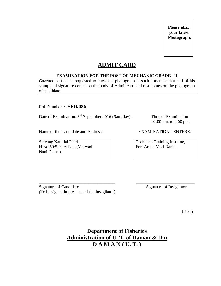## **ADMIT CARD**

#### **EXAMINATION FOR THE POST OF MECHANIC GRADE –II**

Gazetted officer is requested to attest the photograph in such a manner that half of his stamp and signature comes on the body of Admit card and rest comes on the photograph of candidate.

Roll Number :- **SFD/086**

Date of Examination: 3<sup>rd</sup> September 2016 (Saturday). Time of Examination

Name of the Candidate and Address: EXAMINATION CENTERE:

Shivang Kantilal Patel H.No.59/5,Patel Falia,Marwad Nani Daman.

02.00 pm. to 4.00 pm.

Technical Training Institute, Fort Area, Moti Daman.

\_\_\_\_\_\_\_\_\_\_\_\_\_\_\_\_\_\_\_\_\_\_\_\_\_\_\_\_\_\_\_\_\_\_\_ \_\_\_\_\_\_\_\_\_\_\_\_\_\_\_\_\_\_\_\_\_\_\_\_\_\_\_ Signature of Candidate Signature of Invigilator (To be signed in presence of the Invigilator)

(PTO)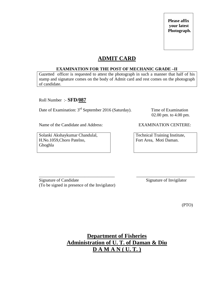## **ADMIT CARD**

#### **EXAMINATION FOR THE POST OF MECHANIC GRADE –II**

Gazetted officer is requested to attest the photograph in such a manner that half of his stamp and signature comes on the body of Admit card and rest comes on the photograph of candidate.

Roll Number :- **SFD/087**

Date of Examination: 3<sup>rd</sup> September 2016 (Saturday). Time of Examination

02.00 pm. to 4.00 pm.

Name of the Candidate and Address: EXAMINATION CENTERE:

Solanki Akshaykumar Chandulal, H.No.1059,Choro Patelno, Ghoghla

Technical Training Institute, Fort Area, Moti Daman.

\_\_\_\_\_\_\_\_\_\_\_\_\_\_\_\_\_\_\_\_\_\_\_\_\_\_\_\_\_\_\_\_\_\_\_ \_\_\_\_\_\_\_\_\_\_\_\_\_\_\_\_\_\_\_\_\_\_\_\_\_\_\_ Signature of Candidate Signature of Invigilator (To be signed in presence of the Invigilator)

(PTO)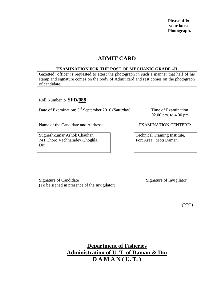## **ADMIT CARD**

#### **EXAMINATION FOR THE POST OF MECHANIC GRADE –II**

Gazetted officer is requested to attest the photograph in such a manner that half of his stamp and signature comes on the body of Admit card and rest comes on the photograph of candidate.

Roll Number :- **SFD/088**

Date of Examination: 3<sup>rd</sup> September 2016 (Saturday). Time of Examination

02.00 pm. to 4.00 pm.

Name of the Candidate and Address: EXAMINATION CENTERE:

Sugneshkumar Ashok Chauhan 741,Choro Vachharadev,Ghoghla, Diu.

Technical Training Institute, Fort Area, Moti Daman.

\_\_\_\_\_\_\_\_\_\_\_\_\_\_\_\_\_\_\_\_\_\_\_\_\_\_\_\_\_\_\_\_\_\_\_ \_\_\_\_\_\_\_\_\_\_\_\_\_\_\_\_\_\_\_\_\_\_\_\_\_\_\_ Signature of Candidate Signature of Invigilator (To be signed in presence of the Invigilator)

(PTO)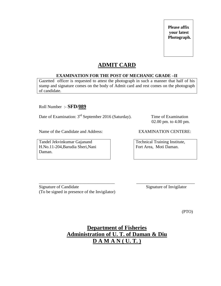## **ADMIT CARD**

#### **EXAMINATION FOR THE POST OF MECHANIC GRADE –II**

Gazetted officer is requested to attest the photograph in such a manner that half of his stamp and signature comes on the body of Admit card and rest comes on the photograph of candidate.

Roll Number :- **SFD/089**

Date of Examination: 3<sup>rd</sup> September 2016 (Saturday). Time of Examination

Name of the Candidate and Address: EXAMINATION CENTERE:

Tandel Jekvinkumar Gajanand H.No.11-204,Barudia Sheri,Nani Daman.

02.00 pm. to 4.00 pm.

Technical Training Institute, Fort Area, Moti Daman.

\_\_\_\_\_\_\_\_\_\_\_\_\_\_\_\_\_\_\_\_\_\_\_\_\_\_\_\_\_\_\_\_\_\_\_ \_\_\_\_\_\_\_\_\_\_\_\_\_\_\_\_\_\_\_\_\_\_\_\_\_\_\_ Signature of Candidate Signature of Invigilator (To be signed in presence of the Invigilator)

(PTO)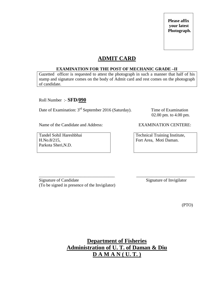## **ADMIT CARD**

#### **EXAMINATION FOR THE POST OF MECHANIC GRADE –II**

Gazetted officer is requested to attest the photograph in such a manner that half of his stamp and signature comes on the body of Admit card and rest comes on the photograph of candidate.

Roll Number :- **SFD/090**

Date of Examination: 3<sup>rd</sup> September 2016 (Saturday). Time of Examination

02.00 pm. to 4.00 pm.

Name of the Candidate and Address: EXAMINATION CENTERE:

Tandel Sohil Hareshbhai H.No.8/215, Parkota Sheri,N.D.

Technical Training Institute, Fort Area, Moti Daman.

\_\_\_\_\_\_\_\_\_\_\_\_\_\_\_\_\_\_\_\_\_\_\_\_\_\_\_\_\_\_\_\_\_\_\_ \_\_\_\_\_\_\_\_\_\_\_\_\_\_\_\_\_\_\_\_\_\_\_\_\_\_\_ Signature of Candidate Signature of Invigilator (To be signed in presence of the Invigilator)

(PTO)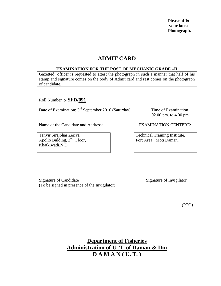## **ADMIT CARD**

#### **EXAMINATION FOR THE POST OF MECHANIC GRADE –II**

Gazetted officer is requested to attest the photograph in such a manner that half of his stamp and signature comes on the body of Admit card and rest comes on the photograph of candidate.

Roll Number :- **SFD/091**

Date of Examination: 3<sup>rd</sup> September 2016 (Saturday). Time of Examination

02.00 pm. to 4.00 pm.

Name of the Candidate and Address: EXAMINATION CENTERE:

Tanvir Sirajbhai Zeriya Apollo Bulding,  $2<sup>nd</sup>$  Floor, Khatkiwadi,N.D.

Technical Training Institute, Fort Area, Moti Daman.

\_\_\_\_\_\_\_\_\_\_\_\_\_\_\_\_\_\_\_\_\_\_\_\_\_\_\_\_\_\_\_\_\_\_\_ \_\_\_\_\_\_\_\_\_\_\_\_\_\_\_\_\_\_\_\_\_\_\_\_\_\_\_ Signature of Candidate Signature of Invigilator (To be signed in presence of the Invigilator)

(PTO)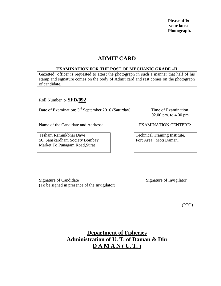## **ADMIT CARD**

#### **EXAMINATION FOR THE POST OF MECHANIC GRADE –II**

Gazetted officer is requested to attest the photograph in such a manner that half of his stamp and signature comes on the body of Admit card and rest comes on the photograph of candidate.

Roll Number :- **SFD/092**

Date of Examination: 3<sup>rd</sup> September 2016 (Saturday). Time of Examination

02.00 pm. to 4.00 pm.

Name of the Candidate and Address: EXAMINATION CENTERE:

Tesham Ramnikbhai Dave 56, Sanskardham Society Bombay Market To Punagam Road,Surat

Technical Training Institute, Fort Area, Moti Daman.

\_\_\_\_\_\_\_\_\_\_\_\_\_\_\_\_\_\_\_\_\_\_\_\_\_\_\_\_\_\_\_\_\_\_\_ \_\_\_\_\_\_\_\_\_\_\_\_\_\_\_\_\_\_\_\_\_\_\_\_\_\_\_ Signature of Candidate Signature of Invigilator (To be signed in presence of the Invigilator)

(PTO)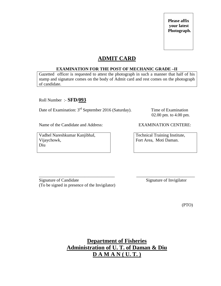## **ADMIT CARD**

#### **EXAMINATION FOR THE POST OF MECHANIC GRADE –II**

Gazetted officer is requested to attest the photograph in such a manner that half of his stamp and signature comes on the body of Admit card and rest comes on the photograph of candidate.

Roll Number :- **SFD/093**

Date of Examination: 3<sup>rd</sup> September 2016 (Saturday). Time of Examination

02.00 pm. to 4.00 pm.

Name of the Candidate and Address: EXAMINATION CENTERE:

Vadhel Nareshkumar KanjibhaI, Vijaychowk, Diu

Technical Training Institute, Fort Area, Moti Daman.

\_\_\_\_\_\_\_\_\_\_\_\_\_\_\_\_\_\_\_\_\_\_\_\_\_\_\_\_\_\_\_\_\_\_\_ \_\_\_\_\_\_\_\_\_\_\_\_\_\_\_\_\_\_\_\_\_\_\_\_\_\_\_ Signature of Candidate Signature of Invigilator (To be signed in presence of the Invigilator)

(PTO)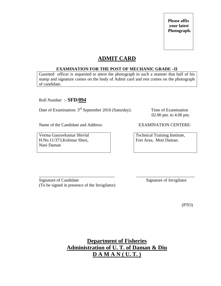## **ADMIT CARD**

#### **EXAMINATION FOR THE POST OF MECHANIC GRADE –II**

Gazetted officer is requested to attest the photograph in such a manner that half of his stamp and signature comes on the body of Admit card and rest comes on the photograph of candidate.

Roll Number :- **SFD/094**

Date of Examination: 3<sup>rd</sup> September 2016 (Saturday). Time of Examination

02.00 pm. to 4.00 pm.

Name of the Candidate and Address: EXAMINATION CENTERE:

Verma Gauravkumar Shivlal H.No.11/373,Kolimar Sheri, Nani Daman

Technical Training Institute, Fort Area, Moti Daman.

\_\_\_\_\_\_\_\_\_\_\_\_\_\_\_\_\_\_\_\_\_\_\_\_\_\_\_\_\_\_\_\_\_\_\_ \_\_\_\_\_\_\_\_\_\_\_\_\_\_\_\_\_\_\_\_\_\_\_\_\_\_\_ Signature of Candidate Signature of Invigilator (To be signed in presence of the Invigilator)

(PTO)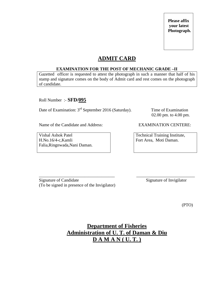## **ADMIT CARD**

#### **EXAMINATION FOR THE POST OF MECHANIC GRADE –II**

Gazetted officer is requested to attest the photograph in such a manner that half of his stamp and signature comes on the body of Admit card and rest comes on the photograph of candidate.

Roll Number :- **SFD/095**

Date of Examination: 3<sup>rd</sup> September 2016 (Saturday). Time of Examination

02.00 pm. to 4.00 pm.

Name of the Candidate and Address: EXAMINATION CENTERE:

Vishal Ashok Patel H.No.16/4-c,Kamli Falia,Ringnwada,Nani Daman.

Technical Training Institute, Fort Area, Moti Daman.

\_\_\_\_\_\_\_\_\_\_\_\_\_\_\_\_\_\_\_\_\_\_\_\_\_\_\_\_\_\_\_\_\_\_\_ \_\_\_\_\_\_\_\_\_\_\_\_\_\_\_\_\_\_\_\_\_\_\_\_\_\_\_ Signature of Candidate Signature of Invigilator (To be signed in presence of the Invigilator)

(PTO)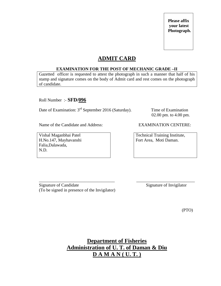## **ADMIT CARD**

#### **EXAMINATION FOR THE POST OF MECHANIC GRADE –II**

Gazetted officer is requested to attest the photograph in such a manner that half of his stamp and signature comes on the body of Admit card and rest comes on the photograph of candidate.

Roll Number :- **SFD/096**

Date of Examination: 3<sup>rd</sup> September 2016 (Saturday). Time of Examination

02.00 pm. to 4.00 pm.

Name of the Candidate and Address: EXAMINATION CENTERE:

Vishal Maganbhai Patel H.No.147, Mayhavanshi Falia,Dalawada, N.D.

Technical Training Institute, Fort Area, Moti Daman.

\_\_\_\_\_\_\_\_\_\_\_\_\_\_\_\_\_\_\_\_\_\_\_\_\_\_\_\_\_\_\_\_\_\_\_ \_\_\_\_\_\_\_\_\_\_\_\_\_\_\_\_\_\_\_\_\_\_\_\_\_\_\_ Signature of Candidate Signature of Invigilator (To be signed in presence of the Invigilator)

(PTO)